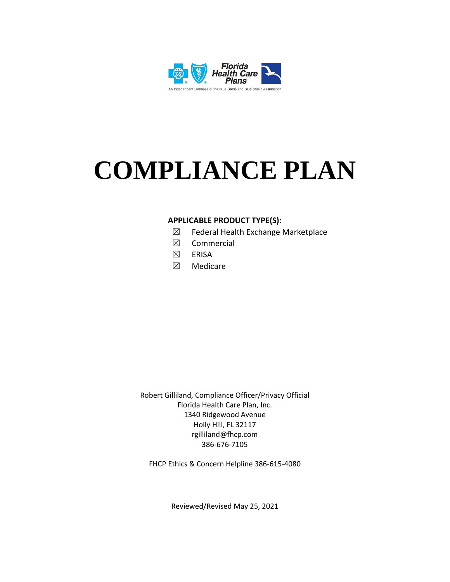

# **COMPLIANCE PLAN**

#### **APPLICABLE PRODUCT TYPE(S):**

- $\boxtimes$  Federal Health Exchange Marketplace
- ☒ Commercial
- ☒ ERISA
- ☒ Medicare

Robert Gilliland, Compliance Officer/Privacy Official Florida Health Care Plan, Inc. 1340 Ridgewood Avenue Holly Hill, FL 32117 rgilliland@fhcp.com 386-676-7105

FHCP Ethics & Concern Helpline 386-615-4080

Reviewed/Revised May 25, 2021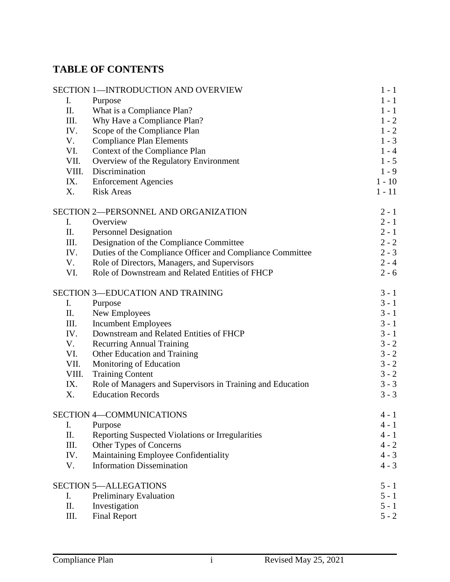# **TABLE OF CONTENTS**

|                | SECTION 1-INTRODUCTION AND OVERVIEW                        | $1 - 1$  |
|----------------|------------------------------------------------------------|----------|
| I.             | Purpose                                                    | $1 - 1$  |
| П.             | What is a Compliance Plan?                                 | $1 - 1$  |
| III.           | Why Have a Compliance Plan?                                | $1 - 2$  |
| IV.            | Scope of the Compliance Plan                               | $1 - 2$  |
| V.             | <b>Compliance Plan Elements</b>                            | $1 - 3$  |
| VI.            | Context of the Compliance Plan                             | $1 - 4$  |
| VII.           | Overview of the Regulatory Environment                     | $1 - 5$  |
| VIII.          | Discrimination                                             | $1 - 9$  |
| IX.            | <b>Enforcement Agencies</b>                                | $1 - 10$ |
| X.             | <b>Risk Areas</b>                                          | $1 - 11$ |
|                | SECTION 2-PERSONNEL AND ORGANIZATION                       | $2 - 1$  |
| $\mathbf{I}$ . | Overview                                                   | $2 - 1$  |
| П.             | <b>Personnel Designation</b>                               | $2 - 1$  |
| III.           | Designation of the Compliance Committee                    | $2 - 2$  |
| IV.            | Duties of the Compliance Officer and Compliance Committee  | $2 - 3$  |
| V.             | Role of Directors, Managers, and Supervisors               | $2 - 4$  |
| VI.            | Role of Downstream and Related Entities of FHCP            | $2 - 6$  |
|                | <b>SECTION 3-EDUCATION AND TRAINING</b>                    | $3 - 1$  |
| I.             | Purpose                                                    | $3 - 1$  |
| П.             | New Employees                                              | $3 - 1$  |
| III.           | <b>Incumbent Employees</b>                                 | $3 - 1$  |
| IV.            | Downstream and Related Entities of FHCP                    | $3 - 1$  |
| V.             | <b>Recurring Annual Training</b>                           | $3 - 2$  |
| VI.            | Other Education and Training                               | $3 - 2$  |
| VII.           | Monitoring of Education                                    | $3 - 2$  |
| VIII.          | <b>Training Content</b>                                    | $3 - 2$  |
| IX.            | Role of Managers and Supervisors in Training and Education | $3 - 3$  |
| X.             | <b>Education Records</b>                                   | $3 - 3$  |
|                | <b>SECTION 4-COMMUNICATIONS</b>                            | $4 - 1$  |
| Ι.             | Purpose                                                    | $4 - 1$  |
| П.             | Reporting Suspected Violations or Irregularities           | $4 - 1$  |
| III.           | Other Types of Concerns                                    | $4 - 2$  |
| IV.            | Maintaining Employee Confidentiality                       | $4 - 3$  |
| V.             | <b>Information Dissemination</b>                           | $4 - 3$  |
|                | <b>SECTION 5-ALLEGATIONS</b>                               | $5 - 1$  |
| I.             | Preliminary Evaluation                                     | $5 - 1$  |
| II.            | Investigation                                              | $5 - 1$  |
| III.           | <b>Final Report</b>                                        | $5 - 2$  |
|                |                                                            |          |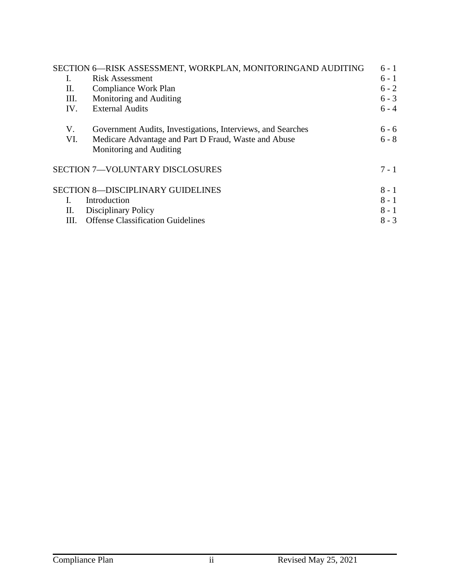|      | SECTION 6-RISK ASSESSMENT, WORKPLAN, MONITORINGAND AUDITING                     | $6 - 1$ |
|------|---------------------------------------------------------------------------------|---------|
| L.   | <b>Risk Assessment</b>                                                          | $6 - 1$ |
| П.   | Compliance Work Plan                                                            | $6 - 2$ |
| III. | Monitoring and Auditing                                                         | $6 - 3$ |
| IV.  | <b>External Audits</b>                                                          | $6 - 4$ |
| V.   | Government Audits, Investigations, Interviews, and Searches                     | $6 - 6$ |
| VI.  | Medicare Advantage and Part D Fraud, Waste and Abuse<br>Monitoring and Auditing | $6 - 8$ |
|      | <b>SECTION 7-VOLUNTARY DISCLOSURES</b>                                          | $7 - 1$ |
|      | <b>SECTION 8-DISCIPLINARY GUIDELINES</b>                                        | $8 - 1$ |
| L.   | Introduction                                                                    | $8 - 1$ |
| П.   | Disciplinary Policy                                                             | $8 - 1$ |
| III. | <b>Offense Classification Guidelines</b>                                        | $8 - 3$ |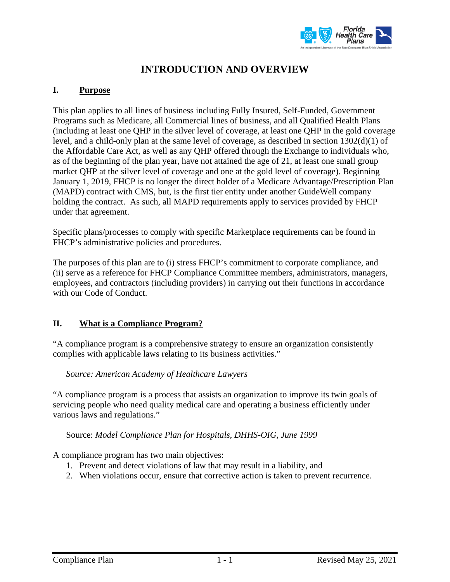

# **INTRODUCTION AND OVERVIEW**

## **I. Purpose**

This plan applies to all lines of business including Fully Insured, Self-Funded, Government Programs such as Medicare, all Commercial lines of business, and all Qualified Health Plans (including at least one QHP in the silver level of coverage, at least one QHP in the gold coverage level, and a child-only plan at the same level of coverage, as described in section 1302(d)(1) of the Affordable Care Act, as well as any QHP offered through the Exchange to individuals who, as of the beginning of the plan year, have not attained the age of 21, at least one small group market QHP at the silver level of coverage and one at the gold level of coverage). Beginning January 1, 2019, FHCP is no longer the direct holder of a Medicare Advantage/Prescription Plan (MAPD) contract with CMS, but, is the first tier entity under another GuideWell company holding the contract. As such, all MAPD requirements apply to services provided by FHCP under that agreement.

Specific plans/processes to comply with specific Marketplace requirements can be found in FHCP's administrative policies and procedures.

The purposes of this plan are to (i) stress FHCP's commitment to corporate compliance, and (ii) serve as a reference for FHCP Compliance Committee members, administrators, managers, employees, and contractors (including providers) in carrying out their functions in accordance with our Code of Conduct.

#### **II. What is a Compliance Program?**

"A compliance program is a comprehensive strategy to ensure an organization consistently complies with applicable laws relating to its business activities."

#### *Source: American Academy of Healthcare Lawyers*

"A compliance program is a process that assists an organization to improve its twin goals of servicing people who need quality medical care and operating a business efficiently under various laws and regulations."

#### Source: *Model Compliance Plan for Hospitals, DHHS-OIG, June 1999*

A compliance program has two main objectives:

- 1. Prevent and detect violations of law that may result in a liability, and
- 2. When violations occur, ensure that corrective action is taken to prevent recurrence.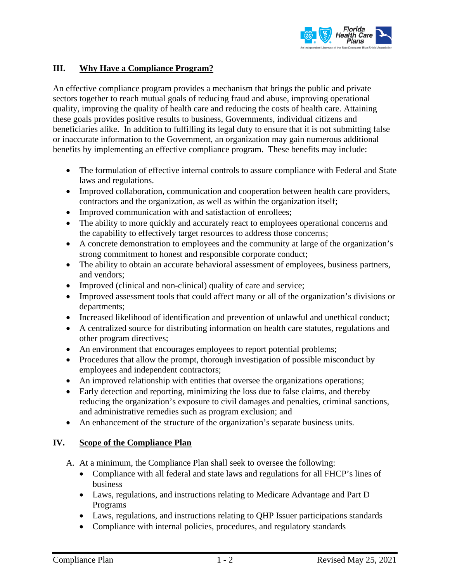

### **III. Why Have a Compliance Program?**

An effective compliance program provides a mechanism that brings the public and private sectors together to reach mutual goals of reducing fraud and abuse, improving operational quality, improving the quality of health care and reducing the costs of health care. Attaining these goals provides positive results to business, Governments, individual citizens and beneficiaries alike. In addition to fulfilling its legal duty to ensure that it is not submitting false or inaccurate information to the Government, an organization may gain numerous additional benefits by implementing an effective compliance program. These benefits may include:

- The formulation of effective internal controls to assure compliance with Federal and State laws and regulations.
- Improved collaboration, communication and cooperation between health care providers, contractors and the organization, as well as within the organization itself;
- Improved communication with and satisfaction of enrollees;
- The ability to more quickly and accurately react to employees operational concerns and the capability to effectively target resources to address those concerns;
- A concrete demonstration to employees and the community at large of the organization's strong commitment to honest and responsible corporate conduct;
- The ability to obtain an accurate behavioral assessment of employees, business partners, and vendors;
- Improved (clinical and non-clinical) quality of care and service;
- Improved assessment tools that could affect many or all of the organization's divisions or departments;
- Increased likelihood of identification and prevention of unlawful and unethical conduct;
- A centralized source for distributing information on health care statutes, regulations and other program directives;
- An environment that encourages employees to report potential problems;
- Procedures that allow the prompt, thorough investigation of possible misconduct by employees and independent contractors;
- An improved relationship with entities that oversee the organizations operations;
- Early detection and reporting, minimizing the loss due to false claims, and thereby reducing the organization's exposure to civil damages and penalties, criminal sanctions, and administrative remedies such as program exclusion; and
- An enhancement of the structure of the organization's separate business units.

#### **IV. Scope of the Compliance Plan**

A. At a minimum, the Compliance Plan shall seek to oversee the following:

- Compliance with all federal and state laws and regulations for all FHCP's lines of business
- Laws, regulations, and instructions relating to Medicare Advantage and Part D Programs
- Laws, regulations, and instructions relating to QHP Issuer participations standards
- Compliance with internal policies, procedures, and regulatory standards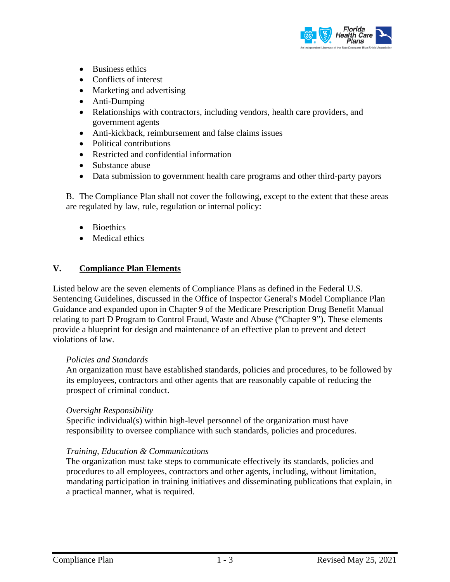

- Business ethics
- Conflicts of interest
- Marketing and advertising
- Anti-Dumping
- Relationships with contractors, including vendors, health care providers, and government agents
- Anti-kickback, reimbursement and false claims issues
- Political contributions
- Restricted and confidential information
- Substance abuse
- Data submission to government health care programs and other third-party payors

B. The Compliance Plan shall not cover the following, except to the extent that these areas are regulated by law, rule, regulation or internal policy:

- Bioethics
- Medical ethics

## **V. Compliance Plan Elements**

Listed below are the seven elements of Compliance Plans as defined in the Federal U.S. Sentencing Guidelines, discussed in the Office of Inspector General's Model Compliance Plan Guidance and expanded upon in Chapter 9 of the Medicare Prescription Drug Benefit Manual relating to part D Program to Control Fraud, Waste and Abuse ("Chapter 9"). These elements provide a blueprint for design and maintenance of an effective plan to prevent and detect violations of law.

#### *Policies and Standards*

An organization must have established standards, policies and procedures, to be followed by its employees, contractors and other agents that are reasonably capable of reducing the prospect of criminal conduct.

#### *Oversight Responsibility*

Specific individual(s) within high-level personnel of the organization must have responsibility to oversee compliance with such standards, policies and procedures.

#### *Training, Education & Communications*

The organization must take steps to communicate effectively its standards, policies and procedures to all employees, contractors and other agents, including, without limitation, mandating participation in training initiatives and disseminating publications that explain, in a practical manner, what is required.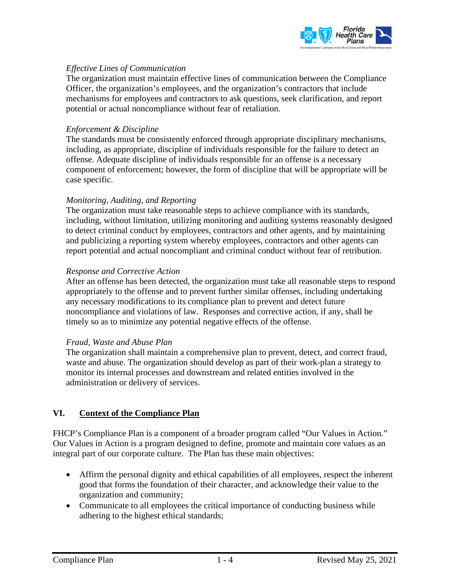

#### *Effective Lines of Communication*

The organization must maintain effective lines of communication between the Compliance Officer, the organization's employees, and the organization's contractors that include mechanisms for employees and contractors to ask questions, seek clarification, and report potential or actual noncompliance without fear of retaliation.

#### *Enforcement & Discipline*

The standards must be consistently enforced through appropriate disciplinary mechanisms, including, as appropriate, discipline of individuals responsible for the failure to detect an offense. Adequate discipline of individuals responsible for an offense is a necessary component of enforcement; however, the form of discipline that will be appropriate will be case specific.

#### *Monitoring, Auditing, and Reporting*

The organization must take reasonable steps to achieve compliance with its standards, including, without limitation, utilizing monitoring and auditing systems reasonably designed to detect criminal conduct by employees, contractors and other agents, and by maintaining and publicizing a reporting system whereby employees, contractors and other agents can report potential and actual noncompliant and criminal conduct without fear of retribution.

#### *Response and Corrective Action*

After an offense has been detected, the organization must take all reasonable steps to respond appropriately to the offense and to prevent further similar offenses, including undertaking any necessary modifications to its compliance plan to prevent and detect future noncompliance and violations of law. Responses and corrective action, if any, shall be timely so as to minimize any potential negative effects of the offense.

#### *Fraud, Waste and Abuse Plan*

The organization shall maintain a comprehensive plan to prevent, detect, and correct fraud, waste and abuse. The organization should develop as part of their work-plan a strategy to monitor its internal processes and downstream and related entities involved in the administration or delivery of services.

#### **VI. Context of the Compliance Plan**

FHCP's Compliance Plan is a component of a broader program called "Our Values in Action." Our Values in Action is a program designed to define, promote and maintain core values as an integral part of our corporate culture. The Plan has these main objectives:

- Affirm the personal dignity and ethical capabilities of all employees, respect the inherent good that forms the foundation of their character, and acknowledge their value to the organization and community;
- Communicate to all employees the critical importance of conducting business while adhering to the highest ethical standards;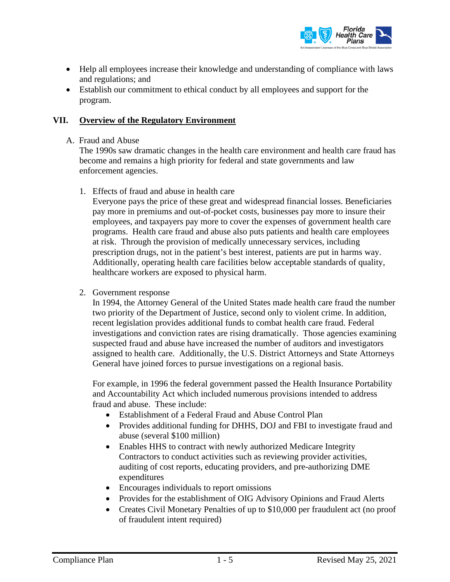

- Help all employees increase their knowledge and understanding of compliance with laws and regulations; and
- Establish our commitment to ethical conduct by all employees and support for the program.

#### **VII. Overview of the Regulatory Environment**

#### A. Fraud and Abuse

The 1990s saw dramatic changes in the health care environment and health care fraud has become and remains a high priority for federal and state governments and law enforcement agencies.

1. Effects of fraud and abuse in health care

Everyone pays the price of these great and widespread financial losses. Beneficiaries pay more in premiums and out-of-pocket costs, businesses pay more to insure their employees, and taxpayers pay more to cover the expenses of government health care programs. Health care fraud and abuse also puts patients and health care employees at risk. Through the provision of medically unnecessary services, including prescription drugs, not in the patient's best interest, patients are put in harms way. Additionally, operating health care facilities below acceptable standards of quality, healthcare workers are exposed to physical harm.

2. Government response

In 1994, the Attorney General of the United States made health care fraud the number two priority of the Department of Justice, second only to violent crime. In addition, recent legislation provides additional funds to combat health care fraud. Federal investigations and conviction rates are rising dramatically. Those agencies examining suspected fraud and abuse have increased the number of auditors and investigators assigned to health care. Additionally, the U.S. District Attorneys and State Attorneys General have joined forces to pursue investigations on a regional basis.

For example, in 1996 the federal government passed the Health Insurance Portability and Accountability Act which included numerous provisions intended to address fraud and abuse. These include:

- Establishment of a Federal Fraud and Abuse Control Plan
- Provides additional funding for DHHS, DOJ and FBI to investigate fraud and abuse (several \$100 million)
- Enables HHS to contract with newly authorized Medicare Integrity Contractors to conduct activities such as reviewing provider activities, auditing of cost reports, educating providers, and pre-authorizing DME expenditures
- Encourages individuals to report omissions
- Provides for the establishment of OIG Advisory Opinions and Fraud Alerts
- Creates Civil Monetary Penalties of up to \$10,000 per fraudulent act (no proof of fraudulent intent required)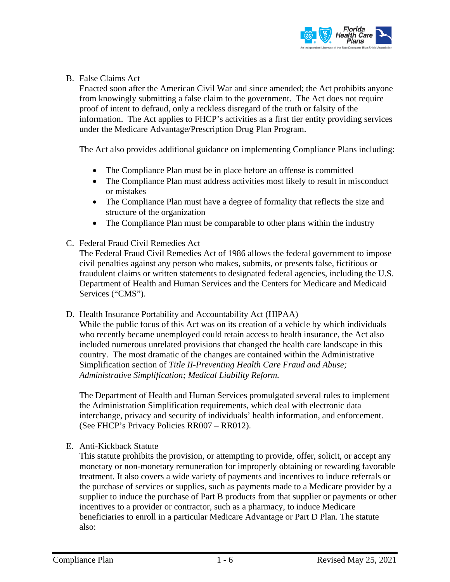

#### B. False Claims Act

Enacted soon after the American Civil War and since amended; the Act prohibits anyone from knowingly submitting a false claim to the government. The Act does not require proof of intent to defraud, only a reckless disregard of the truth or falsity of the information. The Act applies to FHCP's activities as a first tier entity providing services under the Medicare Advantage/Prescription Drug Plan Program.

The Act also provides additional guidance on implementing Compliance Plans including:

- The Compliance Plan must be in place before an offense is committed
- The Compliance Plan must address activities most likely to result in misconduct or mistakes
- The Compliance Plan must have a degree of formality that reflects the size and structure of the organization
- The Compliance Plan must be comparable to other plans within the industry
- C. Federal Fraud Civil Remedies Act

The Federal Fraud Civil Remedies Act of 1986 allows the federal government to impose civil penalties against any person who makes, submits, or presents false, fictitious or fraudulent claims or written statements to designated federal agencies, including the U.S. Department of Health and Human Services and the Centers for Medicare and Medicaid Services ("CMS").

D. Health Insurance Portability and Accountability Act (HIPAA) While the public focus of this Act was on its creation of a vehicle by which individuals who recently became unemployed could retain access to health insurance, the Act also included numerous unrelated provisions that changed the health care landscape in this country. The most dramatic of the changes are contained within the Administrative Simplification section of *Title II-Preventing Health Care Fraud and Abuse; Administrative Simplification; Medical Liability Reform.*

The Department of Health and Human Services promulgated several rules to implement the Administration Simplification requirements, which deal with electronic data interchange, privacy and security of individuals' health information, and enforcement. (See FHCP's Privacy Policies RR007 – RR012).

E. Anti-Kickback Statute

This statute prohibits the provision, or attempting to provide, offer, solicit, or accept any monetary or non-monetary remuneration for improperly obtaining or rewarding favorable treatment. It also covers a wide variety of payments and incentives to induce referrals or the purchase of services or supplies, such as payments made to a Medicare provider by a supplier to induce the purchase of Part B products from that supplier or payments or other incentives to a provider or contractor, such as a pharmacy, to induce Medicare beneficiaries to enroll in a particular Medicare Advantage or Part D Plan. The statute also: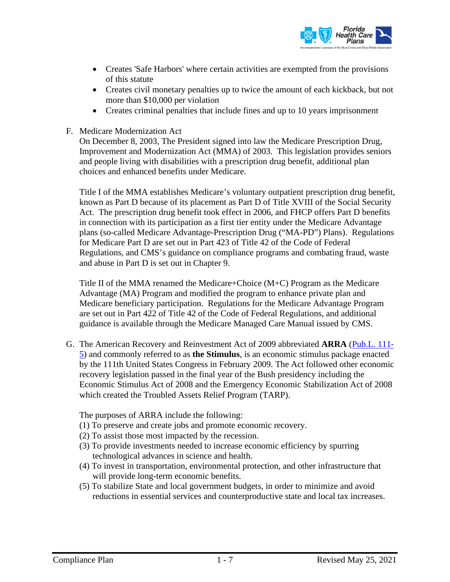

- Creates 'Safe Harbors' where certain activities are exempted from the provisions of this statute
- Creates civil monetary penalties up to twice the amount of each kickback, but not more than \$10,000 per violation
- Creates criminal penalties that include fines and up to 10 years imprisonment
- F. Medicare Modernization Act

On December 8, 2003, The President signed into law the Medicare Prescription Drug, Improvement and Modernization Act (MMA) of 2003. This legislation provides seniors and people living with disabilities with a prescription drug benefit, additional plan choices and enhanced benefits under Medicare.

Title I of the MMA establishes Medicare's voluntary outpatient prescription drug benefit, known as Part D because of its placement as Part D of Title XVIII of the Social Security Act. The prescription drug benefit took effect in 2006, and FHCP offers Part D benefits in connection with its participation as a first tier entity under the Medicare Advantage plans (so-called Medicare Advantage-Prescription Drug ("MA-PD") Plans). Regulations for Medicare Part D are set out in Part 423 of Title 42 of the Code of Federal Regulations, and CMS's guidance on compliance programs and combating fraud, waste and abuse in Part D is set out in Chapter 9.

Title II of the MMA renamed the Medicare+Choice (M+C) Program as the Medicare Advantage (MA) Program and modified the program to enhance private plan and Medicare beneficiary participation. Regulations for the Medicare Advantage Program are set out in Part 422 of Title 42 of the Code of Federal Regulations, and additional guidance is available through the Medicare Managed Care Manual issued by CMS.

G. The American Recovery and Reinvestment Act of 2009 abbreviated **ARRA** [\(Pub.L. 111-](http://www.gpo.gov/fdsys/pkg/PLAW-111publ5/content-detail.html) [5\)](http://www.gpo.gov/fdsys/pkg/PLAW-111publ5/content-detail.html) and commonly referred to as **the Stimulus**, is an economic stimulus package enacted by the 111th United States Congress in February 2009. The Act followed other economic recovery legislation passed in the final year of the Bush presidency including the Economic Stimulus Act of 2008 and the Emergency Economic Stabilization Act of 2008 which created the Troubled Assets Relief Program (TARP).

The purposes of ARRA include the following:

- (1) To preserve and create jobs and promote economic recovery.
- (2) To assist those most impacted by the recession.
- (3) To provide investments needed to increase economic efficiency by spurring technological advances in science and health.
- (4) To invest in transportation, environmental protection, and other infrastructure that will provide long-term economic benefits.
- (5) To stabilize State and local government budgets, in order to minimize and avoid reductions in essential services and counterproductive state and local tax increases.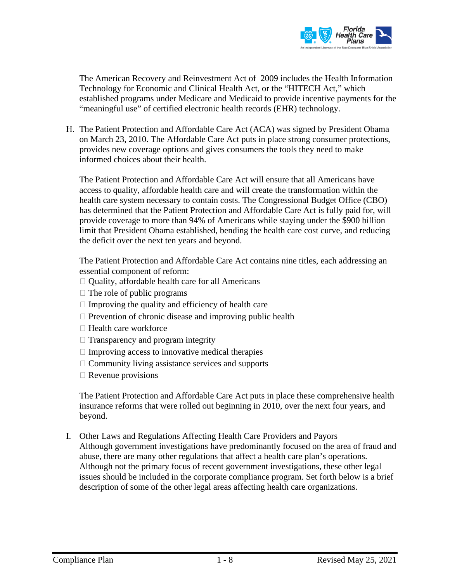

The American Recovery and Reinvestment Act of 2009 includes the Health Information Technology for Economic and Clinical Health Act, or the "HITECH Act," which established programs under Medicare and Medicaid to provide incentive payments for the "meaningful use" of certified electronic health records (EHR) technology.

H. The Patient Protection and Affordable Care Act (ACA) was signed by President Obama on March 23, 2010. The Affordable Care Act puts in place strong consumer protections, provides new coverage options and gives consumers the tools they need to make informed choices about their health.

The Patient Protection and Affordable Care Act will ensure that all Americans have access to quality, affordable health care and will create the transformation within the health care system necessary to contain costs. The Congressional Budget Office (CBO) has determined that the Patient Protection and Affordable Care Act is fully paid for, will provide coverage to more than 94% of Americans while staying under the \$900 billion limit that President Obama established, bending the health care cost curve, and reducing the deficit over the next ten years and beyond.

The Patient Protection and Affordable Care Act contains nine titles, each addressing an essential component of reform:

- $\Box$  Quality, affordable health care for all Americans
- $\Box$  The role of public programs
- $\Box$  Improving the quality and efficiency of health care
- $\Box$  Prevention of chronic disease and improving public health
- $\Box$  Health care workforce
- $\Box$  Transparency and program integrity
- $\Box$  Improving access to innovative medical therapies
- $\Box$  Community living assistance services and supports
- $\Box$  Revenue provisions

The Patient Protection and Affordable Care Act puts in place these comprehensive health insurance reforms that were rolled out beginning in 2010, over the next four years, and beyond.

I. Other Laws and Regulations Affecting Health Care Providers and Payors Although government investigations have predominantly focused on the area of fraud and abuse, there are many other regulations that affect a health care plan's operations. Although not the primary focus of recent government investigations, these other legal issues should be included in the corporate compliance program. Set forth below is a brief description of some of the other legal areas affecting health care organizations.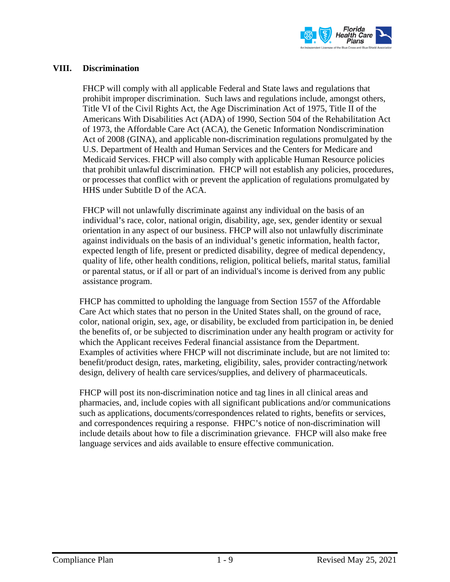

#### **VIII. Discrimination**

FHCP will comply with all applicable Federal and State laws and regulations that prohibit improper discrimination. Such laws and regulations include, amongst others, Title VI of the Civil Rights Act, the Age Discrimination Act of 1975, Title II of the Americans With Disabilities Act (ADA) of 1990, Section 504 of the Rehabilitation Act of 1973, the Affordable Care Act (ACA), the Genetic Information Nondiscrimination Act of 2008 (GINA), and applicable non-discrimination regulations promulgated by the U.S. Department of Health and Human Services and the Centers for Medicare and Medicaid Services. FHCP will also comply with applicable Human Resource policies that prohibit unlawful discrimination. FHCP will not establish any policies, procedures, or processes that conflict with or prevent the application of regulations promulgated by HHS under Subtitle D of the ACA.

FHCP will not unlawfully discriminate against any individual on the basis of an individual's race, color, national origin, disability, age, sex, gender identity or sexual orientation in any aspect of our business. FHCP will also not unlawfully discriminate against individuals on the basis of an individual's genetic information, health factor, expected length of life, present or predicted disability, degree of medical dependency, quality of life, other health conditions, religion, political beliefs, marital status, familial or parental status, or if all or part of an individual's income is derived from any public assistance program.

FHCP has committed to upholding the language from Section 1557 of the Affordable Care Act which states that no person in the United States shall, on the ground of race, color, national origin, sex, age, or disability, be excluded from participation in, be denied the benefits of, or be subjected to discrimination under any health program or activity for which the Applicant receives Federal financial assistance from the Department. Examples of activities where FHCP will not discriminate include, but are not limited to: benefit/product design, rates, marketing, eligibility, sales, provider contracting/network design, delivery of health care services/supplies, and delivery of pharmaceuticals.

FHCP will post its non-discrimination notice and tag lines in all clinical areas and pharmacies, and, include copies with all significant publications and/or communications such as applications, documents/correspondences related to rights, benefits or services, and correspondences requiring a response. FHPC's notice of non-discrimination will include details about how to file a discrimination grievance. FHCP will also make free language services and aids available to ensure effective communication.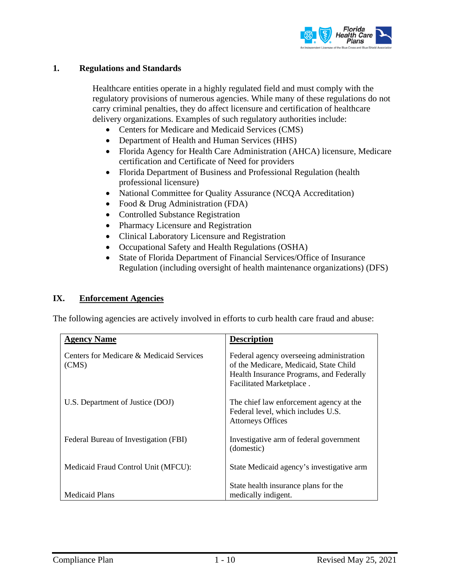

#### **1. Regulations and Standards**

Healthcare entities operate in a highly regulated field and must comply with the regulatory provisions of numerous agencies. While many of these regulations do not carry criminal penalties, they do affect licensure and certification of healthcare delivery organizations. Examples of such regulatory authorities include:

- Centers for Medicare and Medicaid Services (CMS)
- Department of Health and Human Services (HHS)
- Florida Agency for Health Care Administration (AHCA) licensure, Medicare certification and Certificate of Need for providers
- Florida Department of Business and Professional Regulation (health) professional licensure)
- National Committee for Quality Assurance (NCQA Accreditation)
- Food & Drug Administration (FDA)
- Controlled Substance Registration
- Pharmacy Licensure and Registration
- Clinical Laboratory Licensure and Registration
- Occupational Safety and Health Regulations (OSHA)
- State of Florida Department of Financial Services/Office of Insurance Regulation (including oversight of health maintenance organizations) (DFS)

#### **IX. Enforcement Agencies**

The following agencies are actively involved in efforts to curb health care fraud and abuse:

| <b>Agency Name</b>                                | <b>Description</b>                                                                                                                                         |
|---------------------------------------------------|------------------------------------------------------------------------------------------------------------------------------------------------------------|
| Centers for Medicare & Medicaid Services<br>(CMS) | Federal agency overseeing administration<br>of the Medicare, Medicaid, State Child<br>Health Insurance Programs, and Federally<br>Facilitated Marketplace. |
| U.S. Department of Justice (DOJ)                  | The chief law enforcement agency at the<br>Federal level, which includes U.S.<br><b>Attorneys Offices</b>                                                  |
| Federal Bureau of Investigation (FBI)             | Investigative arm of federal government<br>(domestic)                                                                                                      |
| Medicaid Fraud Control Unit (MFCU):               | State Medicaid agency's investigative arm                                                                                                                  |
| <b>Medicaid Plans</b>                             | State health insurance plans for the<br>medically indigent.                                                                                                |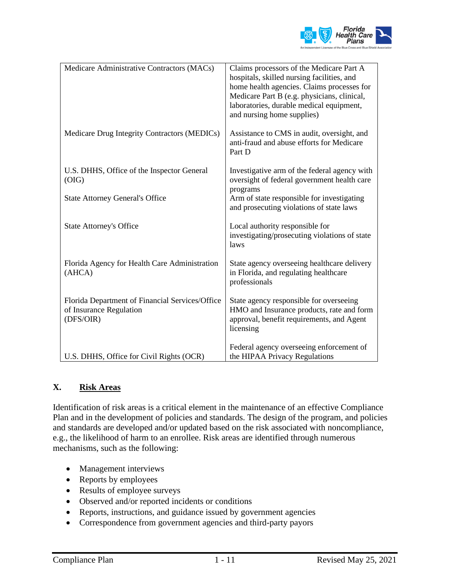

| Medicare Administrative Contractors (MACs)                                              | Claims processors of the Medicare Part A<br>hospitals, skilled nursing facilities, and<br>home health agencies. Claims processes for<br>Medicare Part B (e.g. physicians, clinical,<br>laboratories, durable medical equipment,<br>and nursing home supplies) |
|-----------------------------------------------------------------------------------------|---------------------------------------------------------------------------------------------------------------------------------------------------------------------------------------------------------------------------------------------------------------|
| Medicare Drug Integrity Contractors (MEDICs)                                            | Assistance to CMS in audit, oversight, and<br>anti-fraud and abuse efforts for Medicare<br>Part D                                                                                                                                                             |
| U.S. DHHS, Office of the Inspector General<br>(OIG)                                     | Investigative arm of the federal agency with<br>oversight of federal government health care<br>programs                                                                                                                                                       |
| <b>State Attorney General's Office</b>                                                  | Arm of state responsible for investigating<br>and prosecuting violations of state laws                                                                                                                                                                        |
| <b>State Attorney's Office</b>                                                          | Local authority responsible for<br>investigating/prosecuting violations of state<br>laws                                                                                                                                                                      |
| Florida Agency for Health Care Administration<br>(AHCA)                                 | State agency overseeing healthcare delivery<br>in Florida, and regulating healthcare<br>professionals                                                                                                                                                         |
| Florida Department of Financial Services/Office<br>of Insurance Regulation<br>(DFS/OIR) | State agency responsible for overseeing<br>HMO and Insurance products, rate and form<br>approval, benefit requirements, and Agent<br>licensing                                                                                                                |
| U.S. DHHS, Office for Civil Rights (OCR)                                                | Federal agency overseeing enforcement of<br>the HIPAA Privacy Regulations                                                                                                                                                                                     |

#### **X. Risk Areas**

Identification of risk areas is a critical element in the maintenance of an effective Compliance Plan and in the development of policies and standards. The design of the program, and policies and standards are developed and/or updated based on the risk associated with noncompliance, e.g., the likelihood of harm to an enrollee. Risk areas are identified through numerous mechanisms, such as the following:

- Management interviews
- Reports by employees
- Results of employee surveys
- Observed and/or reported incidents or conditions
- Reports, instructions, and guidance issued by government agencies
- Correspondence from government agencies and third-party payors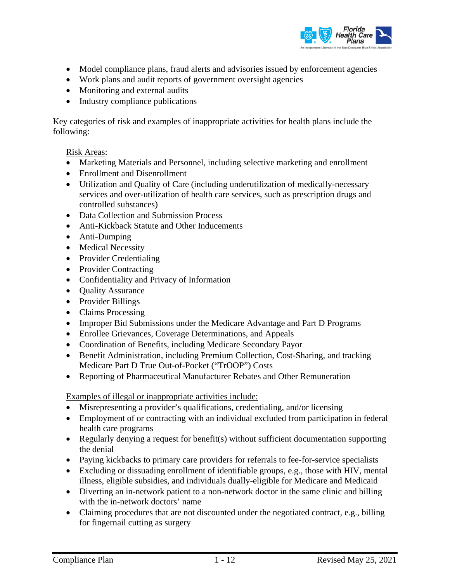

- Model compliance plans, fraud alerts and advisories issued by enforcement agencies
- Work plans and audit reports of government oversight agencies
- Monitoring and external audits
- Industry compliance publications

Key categories of risk and examples of inappropriate activities for health plans include the following:

Risk Areas:

- Marketing Materials and Personnel, including selective marketing and enrollment
- Enrollment and Disenrollment
- Utilization and Quality of Care (including underutilization of medically-necessary services and over-utilization of health care services, such as prescription drugs and controlled substances)
- Data Collection and Submission Process
- Anti-Kickback Statute and Other Inducements
- Anti-Dumping
- Medical Necessity
- Provider Credentialing
- Provider Contracting
- Confidentiality and Privacy of Information
- Quality Assurance
- Provider Billings
- Claims Processing
- Improper Bid Submissions under the Medicare Advantage and Part D Programs
- Enrollee Grievances, Coverage Determinations, and Appeals
- Coordination of Benefits, including Medicare Secondary Payor
- Benefit Administration, including Premium Collection, Cost-Sharing, and tracking Medicare Part D True Out-of-Pocket ("TrOOP") Costs
- Reporting of Pharmaceutical Manufacturer Rebates and Other Remuneration

Examples of illegal or inappropriate activities include:

- Misrepresenting a provider's qualifications, credentialing, and/or licensing
- Employment of or contracting with an individual excluded from participation in federal health care programs
- Regularly denying a request for benefit(s) without sufficient documentation supporting the denial
- Paying kickbacks to primary care providers for referrals to fee-for-service specialists
- Excluding or dissuading enrollment of identifiable groups, e.g., those with HIV, mental illness, eligible subsidies, and individuals dually-eligible for Medicare and Medicaid
- Diverting an in-network patient to a non-network doctor in the same clinic and billing with the in-network doctors' name
- Claiming procedures that are not discounted under the negotiated contract, e.g., billing for fingernail cutting as surgery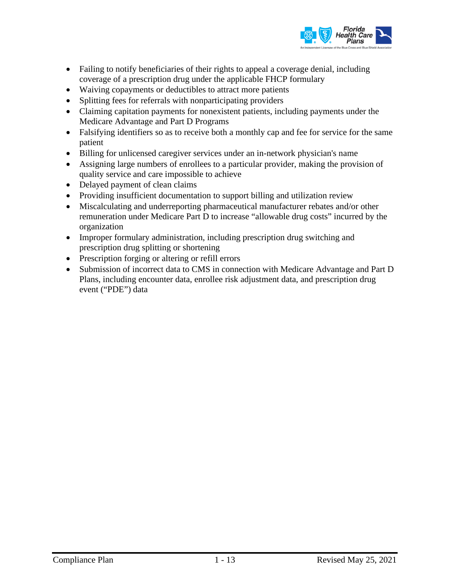

- Failing to notify beneficiaries of their rights to appeal a coverage denial, including coverage of a prescription drug under the applicable FHCP formulary
- Waiving copayments or deductibles to attract more patients
- Splitting fees for referrals with nonparticipating providers
- Claiming capitation payments for nonexistent patients, including payments under the Medicare Advantage and Part D Programs
- Falsifying identifiers so as to receive both a monthly cap and fee for service for the same patient
- Billing for unlicensed caregiver services under an in-network physician's name
- Assigning large numbers of enrollees to a particular provider, making the provision of quality service and care impossible to achieve
- Delayed payment of clean claims
- Providing insufficient documentation to support billing and utilization review
- Miscalculating and underreporting pharmaceutical manufacturer rebates and/or other remuneration under Medicare Part D to increase "allowable drug costs" incurred by the organization
- Improper formulary administration, including prescription drug switching and prescription drug splitting or shortening
- Prescription forging or altering or refill errors
- Submission of incorrect data to CMS in connection with Medicare Advantage and Part D Plans, including encounter data, enrollee risk adjustment data, and prescription drug event ("PDE") data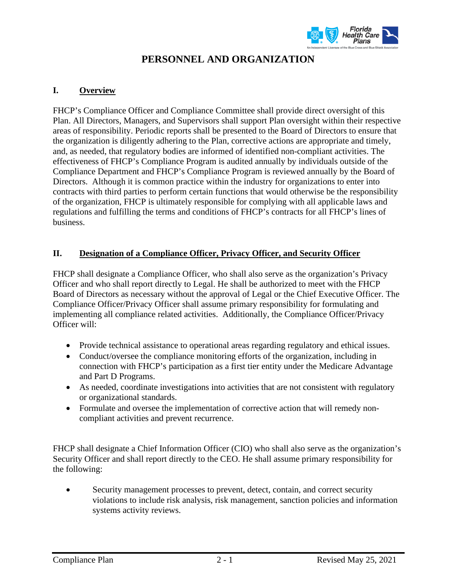

# **PERSONNEL AND ORGANIZATION**

### **I. Overview**

FHCP's Compliance Officer and Compliance Committee shall provide direct oversight of this Plan. All Directors, Managers, and Supervisors shall support Plan oversight within their respective areas of responsibility. Periodic reports shall be presented to the Board of Directors to ensure that the organization is diligently adhering to the Plan, corrective actions are appropriate and timely, and, as needed, that regulatory bodies are informed of identified non-compliant activities. The effectiveness of FHCP's Compliance Program is audited annually by individuals outside of the Compliance Department and FHCP's Compliance Program is reviewed annually by the Board of Directors. Although it is common practice within the industry for organizations to enter into contracts with third parties to perform certain functions that would otherwise be the responsibility of the organization, FHCP is ultimately responsible for complying with all applicable laws and regulations and fulfilling the terms and conditions of FHCP's contracts for all FHCP's lines of business.

#### **II. Designation of a Compliance Officer, Privacy Officer, and Security Officer**

FHCP shall designate a Compliance Officer, who shall also serve as the organization's Privacy Officer and who shall report directly to Legal. He shall be authorized to meet with the FHCP Board of Directors as necessary without the approval of Legal or the Chief Executive Officer. The Compliance Officer/Privacy Officer shall assume primary responsibility for formulating and implementing all compliance related activities. Additionally, the Compliance Officer/Privacy Officer will:

- Provide technical assistance to operational areas regarding regulatory and ethical issues.
- Conduct/oversee the compliance monitoring efforts of the organization, including in connection with FHCP's participation as a first tier entity under the Medicare Advantage and Part D Programs.
- As needed, coordinate investigations into activities that are not consistent with regulatory or organizational standards.
- Formulate and oversee the implementation of corrective action that will remedy noncompliant activities and prevent recurrence.

FHCP shall designate a Chief Information Officer (CIO) who shall also serve as the organization's Security Officer and shall report directly to the CEO. He shall assume primary responsibility for the following:

• Security management processes to prevent, detect, contain, and correct security violations to include risk analysis, risk management, sanction policies and information systems activity reviews.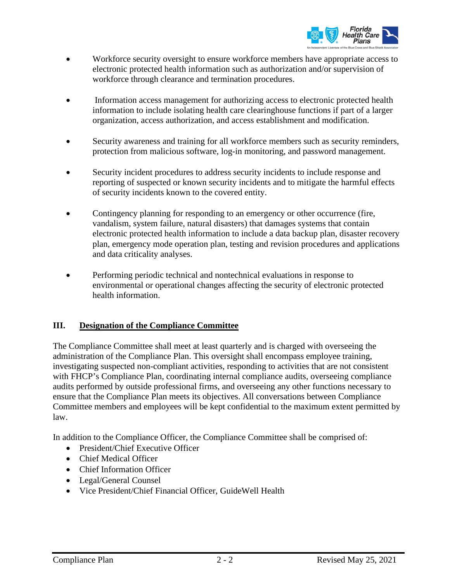

- Workforce security oversight to ensure workforce members have appropriate access to electronic protected health information such as authorization and/or supervision of workforce through clearance and termination procedures.
- Information access management for authorizing access to electronic protected health information to include isolating health care clearinghouse functions if part of a larger organization, access authorization, and access establishment and modification.
- Security awareness and training for all workforce members such as security reminders, protection from malicious software, log-in monitoring, and password management.
- Security incident procedures to address security incidents to include response and reporting of suspected or known security incidents and to mitigate the harmful effects of security incidents known to the covered entity.
- Contingency planning for responding to an emergency or other occurrence (fire, vandalism, system failure, natural disasters) that damages systems that contain electronic protected health information to include a data backup plan, disaster recovery plan, emergency mode operation plan, testing and revision procedures and applications and data criticality analyses.
- Performing periodic technical and nontechnical evaluations in response to environmental or operational changes affecting the security of electronic protected health information.

# **III. Designation of the Compliance Committee**

The Compliance Committee shall meet at least quarterly and is charged with overseeing the administration of the Compliance Plan. This oversight shall encompass employee training, investigating suspected non-compliant activities, responding to activities that are not consistent with FHCP's Compliance Plan, coordinating internal compliance audits, overseeing compliance audits performed by outside professional firms, and overseeing any other functions necessary to ensure that the Compliance Plan meets its objectives. All conversations between Compliance Committee members and employees will be kept confidential to the maximum extent permitted by law.

In addition to the Compliance Officer, the Compliance Committee shall be comprised of:

- President/Chief Executive Officer
- Chief Medical Officer
- Chief Information Officer
- Legal/General Counsel
- Vice President/Chief Financial Officer, GuideWell Health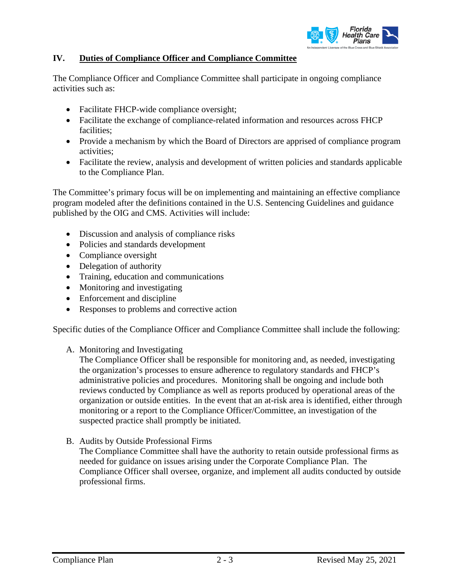

#### **IV. Duties of Compliance Officer and Compliance Committee**

The Compliance Officer and Compliance Committee shall participate in ongoing compliance activities such as:

- Facilitate FHCP-wide compliance oversight;
- Facilitate the exchange of compliance-related information and resources across FHCP facilities;
- Provide a mechanism by which the Board of Directors are apprised of compliance program activities;
- Facilitate the review, analysis and development of written policies and standards applicable to the Compliance Plan.

The Committee's primary focus will be on implementing and maintaining an effective compliance program modeled after the definitions contained in the U.S. Sentencing Guidelines and guidance published by the OIG and CMS. Activities will include:

- Discussion and analysis of compliance risks
- Policies and standards development
- Compliance oversight
- Delegation of authority
- Training, education and communications
- Monitoring and investigating
- Enforcement and discipline
- Responses to problems and corrective action

Specific duties of the Compliance Officer and Compliance Committee shall include the following:

A. Monitoring and Investigating

The Compliance Officer shall be responsible for monitoring and, as needed, investigating the organization's processes to ensure adherence to regulatory standards and FHCP's administrative policies and procedures. Monitoring shall be ongoing and include both reviews conducted by Compliance as well as reports produced by operational areas of the organization or outside entities. In the event that an at-risk area is identified, either through monitoring or a report to the Compliance Officer/Committee, an investigation of the suspected practice shall promptly be initiated.

B. Audits by Outside Professional Firms

The Compliance Committee shall have the authority to retain outside professional firms as needed for guidance on issues arising under the Corporate Compliance Plan. The Compliance Officer shall oversee, organize, and implement all audits conducted by outside professional firms.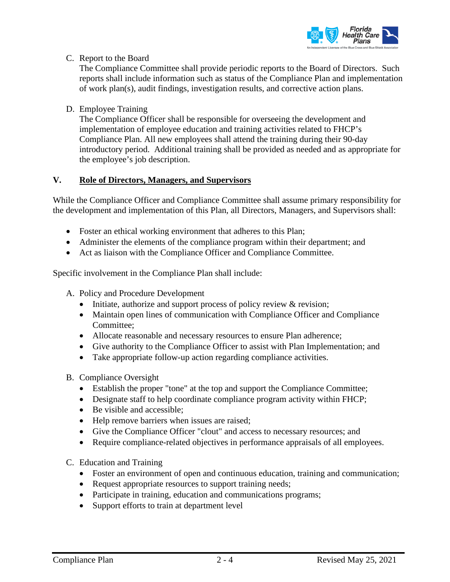

C. Report to the Board

The Compliance Committee shall provide periodic reports to the Board of Directors. Such reports shall include information such as status of the Compliance Plan and implementation of work plan(s), audit findings, investigation results, and corrective action plans.

D. Employee Training

The Compliance Officer shall be responsible for overseeing the development and implementation of employee education and training activities related to FHCP's Compliance Plan. All new employees shall attend the training during their 90-day introductory period. Additional training shall be provided as needed and as appropriate for the employee's job description.

#### **V. Role of Directors, Managers, and Supervisors**

While the Compliance Officer and Compliance Committee shall assume primary responsibility for the development and implementation of this Plan, all Directors, Managers, and Supervisors shall:

- Foster an ethical working environment that adheres to this Plan;
- Administer the elements of the compliance program within their department; and
- Act as liaison with the Compliance Officer and Compliance Committee.

Specific involvement in the Compliance Plan shall include:

- A. Policy and Procedure Development
	- Initiate, authorize and support process of policy review & revision;
	- Maintain open lines of communication with Compliance Officer and Compliance Committee;
	- Allocate reasonable and necessary resources to ensure Plan adherence;
	- Give authority to the Compliance Officer to assist with Plan Implementation; and
	- Take appropriate follow-up action regarding compliance activities.
- B. Compliance Oversight
	- Establish the proper "tone" at the top and support the Compliance Committee;
	- Designate staff to help coordinate compliance program activity within FHCP;
	- Be visible and accessible;
	- Help remove barriers when issues are raised;
	- Give the Compliance Officer "clout" and access to necessary resources; and
	- Require compliance-related objectives in performance appraisals of all employees.

C. Education and Training

- Foster an environment of open and continuous education, training and communication;
- Request appropriate resources to support training needs;
- Participate in training, education and communications programs;
- Support efforts to train at department level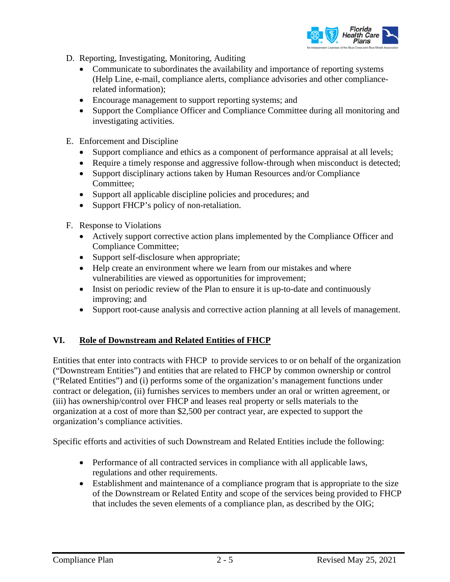

- D. Reporting, Investigating, Monitoring, Auditing
	- Communicate to subordinates the availability and importance of reporting systems (Help Line, e-mail, compliance alerts, compliance advisories and other compliancerelated information);
	- Encourage management to support reporting systems; and
	- Support the Compliance Officer and Compliance Committee during all monitoring and investigating activities.
- E. Enforcement and Discipline
	- Support compliance and ethics as a component of performance appraisal at all levels;
	- Require a timely response and aggressive follow-through when misconduct is detected;
	- Support disciplinary actions taken by Human Resources and/or Compliance Committee;
	- Support all applicable discipline policies and procedures; and
	- Support FHCP's policy of non-retaliation.
- F. Response to Violations
	- Actively support corrective action plans implemented by the Compliance Officer and Compliance Committee;
	- Support self-disclosure when appropriate;
	- Help create an environment where we learn from our mistakes and where vulnerabilities are viewed as opportunities for improvement;
	- Insist on periodic review of the Plan to ensure it is up-to-date and continuously improving; and
	- Support root-cause analysis and corrective action planning at all levels of management.

#### **VI. Role of Downstream and Related Entities of FHCP**

Entities that enter into contracts with FHCP to provide services to or on behalf of the organization ("Downstream Entities") and entities that are related to FHCP by common ownership or control ("Related Entities") and (i) performs some of the organization's management functions under contract or delegation, (ii) furnishes services to members under an oral or written agreement, or (iii) has ownership/control over FHCP and leases real property or sells materials to the organization at a cost of more than \$2,500 per contract year, are expected to support the organization's compliance activities.

Specific efforts and activities of such Downstream and Related Entities include the following:

- Performance of all contracted services in compliance with all applicable laws, regulations and other requirements.
- Establishment and maintenance of a compliance program that is appropriate to the size of the Downstream or Related Entity and scope of the services being provided to FHCP that includes the seven elements of a compliance plan, as described by the OIG;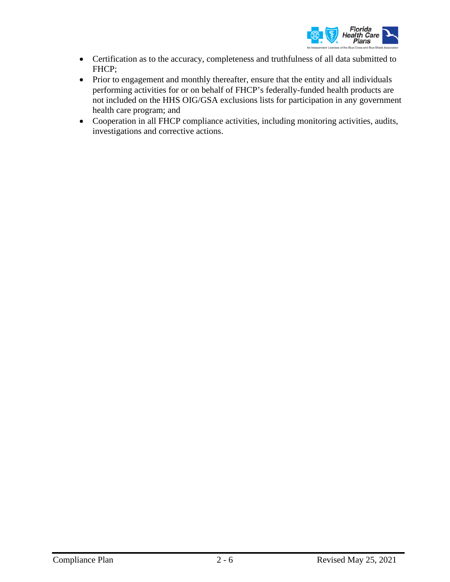

- Certification as to the accuracy, completeness and truthfulness of all data submitted to FHCP;
- Prior to engagement and monthly thereafter, ensure that the entity and all individuals performing activities for or on behalf of FHCP's federally-funded health products are not included on the HHS OIG/GSA exclusions lists for participation in any government health care program; and
- Cooperation in all FHCP compliance activities, including monitoring activities, audits, investigations and corrective actions.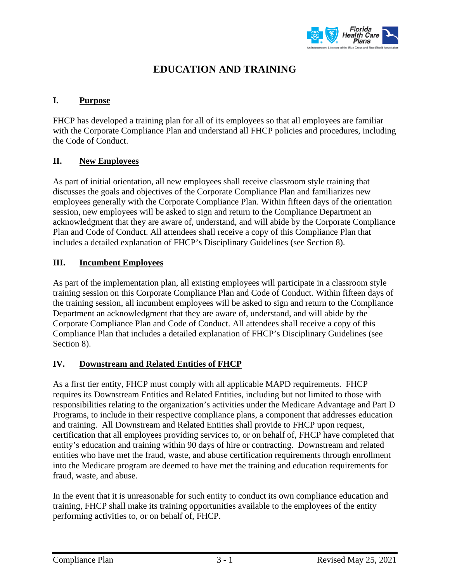

# **EDUCATION AND TRAINING**

### **I. Purpose**

FHCP has developed a training plan for all of its employees so that all employees are familiar with the Corporate Compliance Plan and understand all FHCP policies and procedures, including the Code of Conduct.

## **II. New Employees**

As part of initial orientation, all new employees shall receive classroom style training that discusses the goals and objectives of the Corporate Compliance Plan and familiarizes new employees generally with the Corporate Compliance Plan. Within fifteen days of the orientation session, new employees will be asked to sign and return to the Compliance Department an acknowledgment that they are aware of, understand, and will abide by the Corporate Compliance Plan and Code of Conduct. All attendees shall receive a copy of this Compliance Plan that includes a detailed explanation of FHCP's Disciplinary Guidelines (see Section 8).

## **III. Incumbent Employees**

As part of the implementation plan, all existing employees will participate in a classroom style training session on this Corporate Compliance Plan and Code of Conduct. Within fifteen days of the training session, all incumbent employees will be asked to sign and return to the Compliance Department an acknowledgment that they are aware of, understand, and will abide by the Corporate Compliance Plan and Code of Conduct. All attendees shall receive a copy of this Compliance Plan that includes a detailed explanation of FHCP's Disciplinary Guidelines (see Section 8).

#### **IV. Downstream and Related Entities of FHCP**

As a first tier entity, FHCP must comply with all applicable MAPD requirements. FHCP requires its Downstream Entities and Related Entities, including but not limited to those with responsibilities relating to the organization's activities under the Medicare Advantage and Part D Programs, to include in their respective compliance plans, a component that addresses education and training. All Downstream and Related Entities shall provide to FHCP upon request, certification that all employees providing services to, or on behalf of, FHCP have completed that entity's education and training within 90 days of hire or contracting. Downstream and related entities who have met the fraud, waste, and abuse certification requirements through enrollment into the Medicare program are deemed to have met the training and education requirements for fraud, waste, and abuse.

In the event that it is unreasonable for such entity to conduct its own compliance education and training, FHCP shall make its training opportunities available to the employees of the entity performing activities to, or on behalf of, FHCP.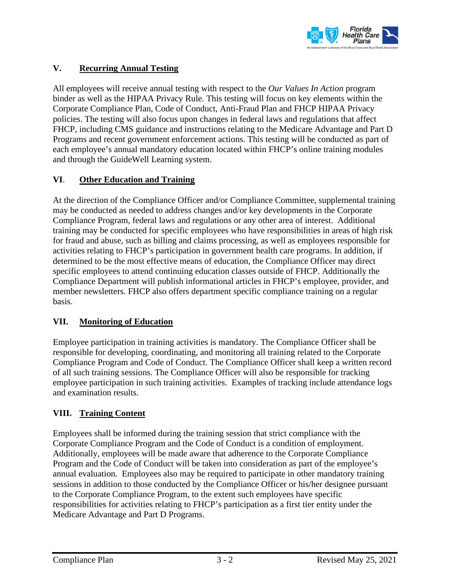

# **V. Recurring Annual Testing**

All employees will receive annual testing with respect to the *Our Values In Action* program binder as well as the HIPAA Privacy Rule. This testing will focus on key elements within the Corporate Compliance Plan, Code of Conduct, Anti-Fraud Plan and FHCP HIPAA Privacy policies. The testing will also focus upon changes in federal laws and regulations that affect FHCP, including CMS guidance and instructions relating to the Medicare Advantage and Part D Programs and recent government enforcement actions. This testing will be conducted as part of each employee's annual mandatory education located within FHCP's online training modules and through the GuideWell Learning system.

# **VI**. **Other Education and Training**

At the direction of the Compliance Officer and/or Compliance Committee, supplemental training may be conducted as needed to address changes and/or key developments in the Corporate Compliance Program, federal laws and regulations or any other area of interest. Additional training may be conducted for specific employees who have responsibilities in areas of high risk for fraud and abuse, such as billing and claims processing, as well as employees responsible for activities relating to FHCP's participation in government health care programs. In addition, if determined to be the most effective means of education, the Compliance Officer may direct specific employees to attend continuing education classes outside of FHCP. Additionally the Compliance Department will publish informational articles in FHCP's employee, provider, and member newsletters. FHCP also offers department specific compliance training on a regular basis.

#### **VII. Monitoring of Education**

Employee participation in training activities is mandatory. The Compliance Officer shall be responsible for developing, coordinating, and monitoring all training related to the Corporate Compliance Program and Code of Conduct. The Compliance Officer shall keep a written record of all such training sessions. The Compliance Officer will also be responsible for tracking employee participation in such training activities. Examples of tracking include attendance logs and examination results.

# **VIII. Training Content**

Employees shall be informed during the training session that strict compliance with the Corporate Compliance Program and the Code of Conduct is a condition of employment. Additionally, employees will be made aware that adherence to the Corporate Compliance Program and the Code of Conduct will be taken into consideration as part of the employee's annual evaluation. Employees also may be required to participate in other mandatory training sessions in addition to those conducted by the Compliance Officer or his/her designee pursuant to the Corporate Compliance Program, to the extent such employees have specific responsibilities for activities relating to FHCP's participation as a first tier entity under the Medicare Advantage and Part D Programs.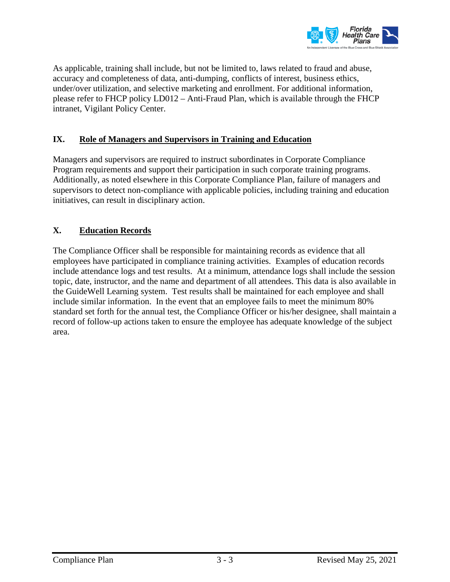

As applicable, training shall include, but not be limited to, laws related to fraud and abuse, accuracy and completeness of data, anti-dumping, conflicts of interest, business ethics, under/over utilization, and selective marketing and enrollment. For additional information, please refer to FHCP policy LD012 – Anti-Fraud Plan, which is available through the FHCP intranet, Vigilant Policy Center.

### **IX. Role of Managers and Supervisors in Training and Education**

Managers and supervisors are required to instruct subordinates in Corporate Compliance Program requirements and support their participation in such corporate training programs. Additionally, as noted elsewhere in this Corporate Compliance Plan, failure of managers and supervisors to detect non-compliance with applicable policies, including training and education initiatives, can result in disciplinary action.

## **X. Education Records**

The Compliance Officer shall be responsible for maintaining records as evidence that all employees have participated in compliance training activities. Examples of education records include attendance logs and test results. At a minimum, attendance logs shall include the session topic, date, instructor, and the name and department of all attendees. This data is also available in the GuideWell Learning system. Test results shall be maintained for each employee and shall include similar information. In the event that an employee fails to meet the minimum 80% standard set forth for the annual test, the Compliance Officer or his/her designee, shall maintain a record of follow-up actions taken to ensure the employee has adequate knowledge of the subject area.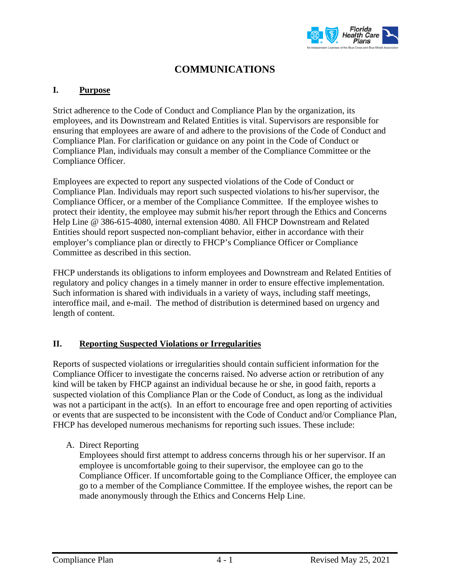

# **COMMUNICATIONS**

### **I. Purpose**

Strict adherence to the Code of Conduct and Compliance Plan by the organization, its employees, and its Downstream and Related Entities is vital. Supervisors are responsible for ensuring that employees are aware of and adhere to the provisions of the Code of Conduct and Compliance Plan. For clarification or guidance on any point in the Code of Conduct or Compliance Plan, individuals may consult a member of the Compliance Committee or the Compliance Officer.

Employees are expected to report any suspected violations of the Code of Conduct or Compliance Plan. Individuals may report such suspected violations to his/her supervisor, the Compliance Officer, or a member of the Compliance Committee. If the employee wishes to protect their identity, the employee may submit his/her report through the Ethics and Concerns Help Line @ 386-615-4080, internal extension 4080. All FHCP Downstream and Related Entities should report suspected non-compliant behavior, either in accordance with their employer's compliance plan or directly to FHCP's Compliance Officer or Compliance Committee as described in this section.

FHCP understands its obligations to inform employees and Downstream and Related Entities of regulatory and policy changes in a timely manner in order to ensure effective implementation. Such information is shared with individuals in a variety of ways, including staff meetings, interoffice mail, and e-mail. The method of distribution is determined based on urgency and length of content.

#### **II. Reporting Suspected Violations or Irregularities**

Reports of suspected violations or irregularities should contain sufficient information for the Compliance Officer to investigate the concerns raised. No adverse action or retribution of any kind will be taken by FHCP against an individual because he or she, in good faith, reports a suspected violation of this Compliance Plan or the Code of Conduct, as long as the individual was not a participant in the act(s). In an effort to encourage free and open reporting of activities or events that are suspected to be inconsistent with the Code of Conduct and/or Compliance Plan, FHCP has developed numerous mechanisms for reporting such issues. These include:

#### A. Direct Reporting

Employees should first attempt to address concerns through his or her supervisor. If an employee is uncomfortable going to their supervisor, the employee can go to the Compliance Officer. If uncomfortable going to the Compliance Officer, the employee can go to a member of the Compliance Committee. If the employee wishes, the report can be made anonymously through the Ethics and Concerns Help Line.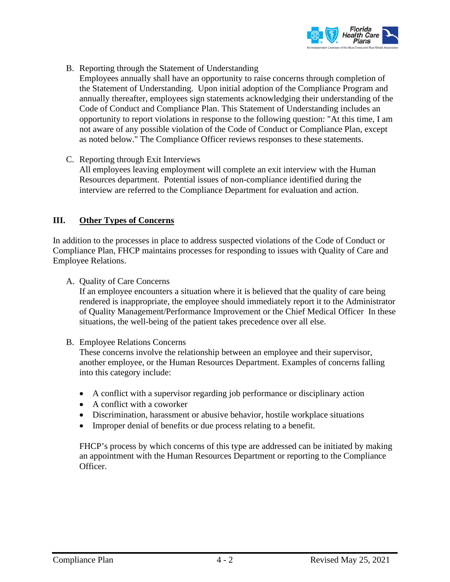

- B. Reporting through the Statement of Understanding Employees annually shall have an opportunity to raise concerns through completion of the Statement of Understanding. Upon initial adoption of the Compliance Program and annually thereafter, employees sign statements acknowledging their understanding of the Code of Conduct and Compliance Plan. This Statement of Understanding includes an opportunity to report violations in response to the following question: "At this time, I am not aware of any possible violation of the Code of Conduct or Compliance Plan, except as noted below." The Compliance Officer reviews responses to these statements.
- C. Reporting through Exit Interviews

All employees leaving employment will complete an exit interview with the Human Resources department. Potential issues of non-compliance identified during the interview are referred to the Compliance Department for evaluation and action.

#### **III. Other Types of Concerns**

In addition to the processes in place to address suspected violations of the Code of Conduct or Compliance Plan, FHCP maintains processes for responding to issues with Quality of Care and Employee Relations.

A. Quality of Care Concerns

If an employee encounters a situation where it is believed that the quality of care being rendered is inappropriate, the employee should immediately report it to the Administrator of Quality Management/Performance Improvement or the Chief Medical Officer In these situations, the well-being of the patient takes precedence over all else.

B. Employee Relations Concerns

These concerns involve the relationship between an employee and their supervisor, another employee, or the Human Resources Department. Examples of concerns falling into this category include:

- A conflict with a supervisor regarding job performance or disciplinary action
- A conflict with a coworker
- Discrimination, harassment or abusive behavior, hostile workplace situations
- Improper denial of benefits or due process relating to a benefit.

FHCP's process by which concerns of this type are addressed can be initiated by making an appointment with the Human Resources Department or reporting to the Compliance Officer.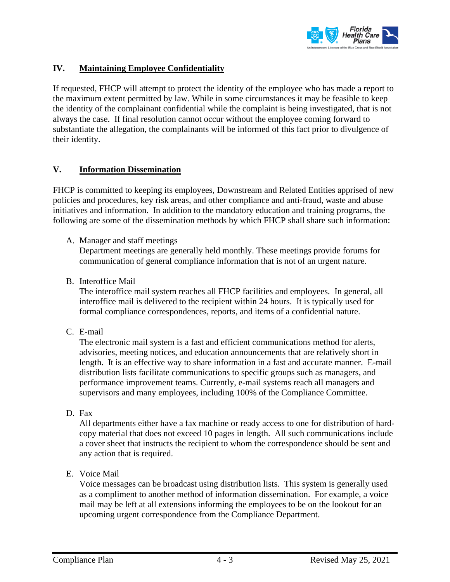

## **IV. Maintaining Employee Confidentiality**

If requested, FHCP will attempt to protect the identity of the employee who has made a report to the maximum extent permitted by law. While in some circumstances it may be feasible to keep the identity of the complainant confidential while the complaint is being investigated, that is not always the case. If final resolution cannot occur without the employee coming forward to substantiate the allegation, the complainants will be informed of this fact prior to divulgence of their identity.

#### **V. Information Dissemination**

FHCP is committed to keeping its employees, Downstream and Related Entities apprised of new policies and procedures, key risk areas, and other compliance and anti-fraud, waste and abuse initiatives and information. In addition to the mandatory education and training programs, the following are some of the dissemination methods by which FHCP shall share such information:

A. Manager and staff meetings

Department meetings are generally held monthly. These meetings provide forums for communication of general compliance information that is not of an urgent nature.

B. Interoffice Mail

The interoffice mail system reaches all FHCP facilities and employees. In general, all interoffice mail is delivered to the recipient within 24 hours. It is typically used for formal compliance correspondences, reports, and items of a confidential nature.

C. E-mail

The electronic mail system is a fast and efficient communications method for alerts, advisories, meeting notices, and education announcements that are relatively short in length. It is an effective way to share information in a fast and accurate manner. E-mail distribution lists facilitate communications to specific groups such as managers, and performance improvement teams. Currently, e-mail systems reach all managers and supervisors and many employees, including 100% of the Compliance Committee.

D. Fax

All departments either have a fax machine or ready access to one for distribution of hardcopy material that does not exceed 10 pages in length. All such communications include a cover sheet that instructs the recipient to whom the correspondence should be sent and any action that is required.

E. Voice Mail

Voice messages can be broadcast using distribution lists. This system is generally used as a compliment to another method of information dissemination. For example, a voice mail may be left at all extensions informing the employees to be on the lookout for an upcoming urgent correspondence from the Compliance Department.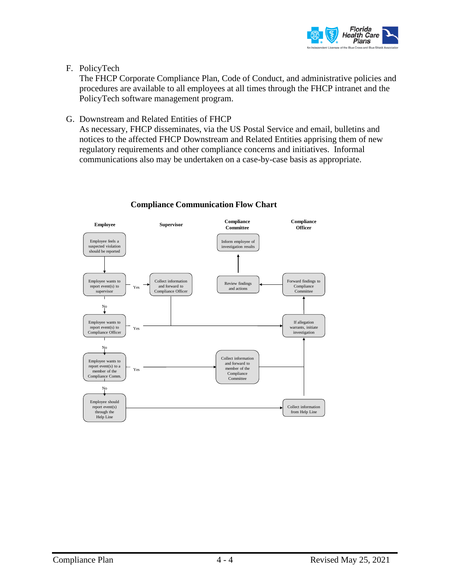

F. PolicyTech

The FHCP Corporate Compliance Plan, Code of Conduct, and administrative policies and procedures are available to all employees at all times through the FHCP intranet and the PolicyTech software management program.

G. Downstream and Related Entities of FHCP

As necessary, FHCP disseminates, via the US Postal Service and email, bulletins and notices to the affected FHCP Downstream and Related Entities apprising them of new regulatory requirements and other compliance concerns and initiatives. Informal communications also may be undertaken on a case-by-case basis as appropriate.



#### **Compliance Communication Flow Chart**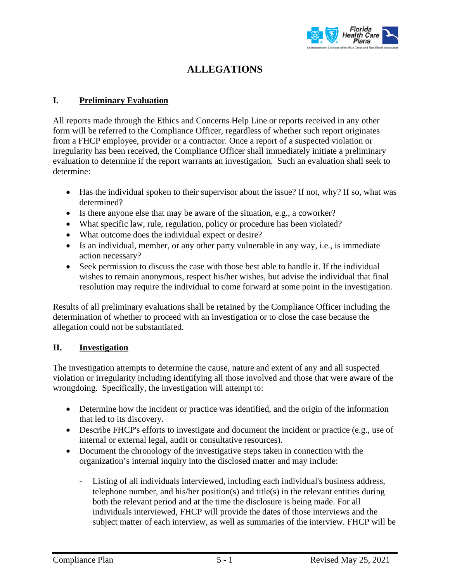

# **ALLEGATIONS**

### **I. Preliminary Evaluation**

All reports made through the Ethics and Concerns Help Line or reports received in any other form will be referred to the Compliance Officer, regardless of whether such report originates from a FHCP employee, provider or a contractor. Once a report of a suspected violation or irregularity has been received, the Compliance Officer shall immediately initiate a preliminary evaluation to determine if the report warrants an investigation. Such an evaluation shall seek to determine:

- Has the individual spoken to their supervisor about the issue? If not, why? If so, what was determined?
- Is there anyone else that may be aware of the situation, e.g., a coworker?
- What specific law, rule, regulation, policy or procedure has been violated?
- What outcome does the individual expect or desire?
- Is an individual, member, or any other party vulnerable in any way, i.e., is immediate action necessary?
- Seek permission to discuss the case with those best able to handle it. If the individual wishes to remain anonymous, respect his/her wishes, but advise the individual that final resolution may require the individual to come forward at some point in the investigation.

Results of all preliminary evaluations shall be retained by the Compliance Officer including the determination of whether to proceed with an investigation or to close the case because the allegation could not be substantiated.

#### **II. Investigation**

The investigation attempts to determine the cause, nature and extent of any and all suspected violation or irregularity including identifying all those involved and those that were aware of the wrongdoing. Specifically, the investigation will attempt to:

- Determine how the incident or practice was identified, and the origin of the information that led to its discovery.
- Describe FHCP's efforts to investigate and document the incident or practice (e.g., use of internal or external legal, audit or consultative resources).
- Document the chronology of the investigative steps taken in connection with the organization's internal inquiry into the disclosed matter and may include:
	- Listing of all individuals interviewed, including each individual's business address, telephone number, and his/her position(s) and title(s) in the relevant entities during both the relevant period and at the time the disclosure is being made. For all individuals interviewed, FHCP will provide the dates of those interviews and the subject matter of each interview, as well as summaries of the interview. FHCP will be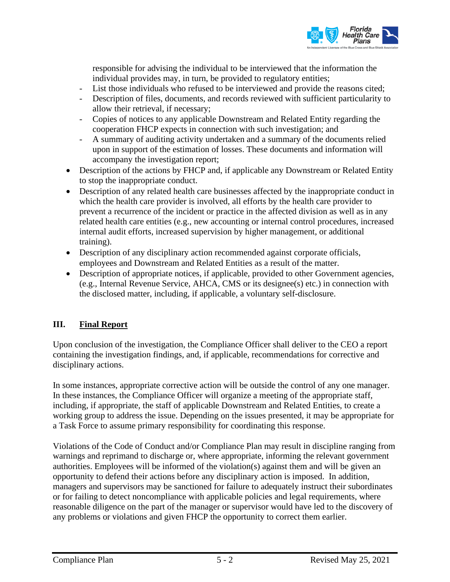

responsible for advising the individual to be interviewed that the information the individual provides may, in turn, be provided to regulatory entities;

- List those individuals who refused to be interviewed and provide the reasons cited;
- Description of files, documents, and records reviewed with sufficient particularity to allow their retrieval, if necessary;
- Copies of notices to any applicable Downstream and Related Entity regarding the cooperation FHCP expects in connection with such investigation; and
- A summary of auditing activity undertaken and a summary of the documents relied upon in support of the estimation of losses. These documents and information will accompany the investigation report;
- Description of the actions by FHCP and, if applicable any Downstream or Related Entity to stop the inappropriate conduct.
- Description of any related health care businesses affected by the inappropriate conduct in which the health care provider is involved, all efforts by the health care provider to prevent a recurrence of the incident or practice in the affected division as well as in any related health care entities (e.g., new accounting or internal control procedures, increased internal audit efforts, increased supervision by higher management, or additional training).
- Description of any disciplinary action recommended against corporate officials, employees and Downstream and Related Entities as a result of the matter.
- Description of appropriate notices, if applicable, provided to other Government agencies, (e.g., Internal Revenue Service, AHCA, CMS or its designee(s) etc.) in connection with the disclosed matter, including, if applicable, a voluntary self-disclosure.

#### **III. Final Report**

Upon conclusion of the investigation, the Compliance Officer shall deliver to the CEO a report containing the investigation findings, and, if applicable, recommendations for corrective and disciplinary actions.

In some instances, appropriate corrective action will be outside the control of any one manager. In these instances, the Compliance Officer will organize a meeting of the appropriate staff, including, if appropriate, the staff of applicable Downstream and Related Entities, to create a working group to address the issue. Depending on the issues presented, it may be appropriate for a Task Force to assume primary responsibility for coordinating this response.

Violations of the Code of Conduct and/or Compliance Plan may result in discipline ranging from warnings and reprimand to discharge or, where appropriate, informing the relevant government authorities. Employees will be informed of the violation(s) against them and will be given an opportunity to defend their actions before any disciplinary action is imposed. In addition, managers and supervisors may be sanctioned for failure to adequately instruct their subordinates or for failing to detect noncompliance with applicable policies and legal requirements, where reasonable diligence on the part of the manager or supervisor would have led to the discovery of any problems or violations and given FHCP the opportunity to correct them earlier.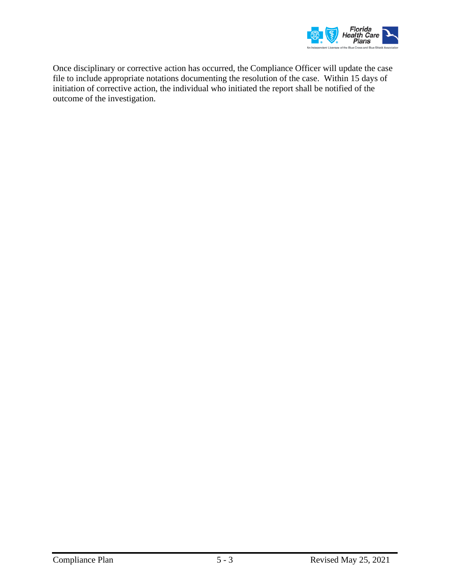

Once disciplinary or corrective action has occurred, the Compliance Officer will update the case file to include appropriate notations documenting the resolution of the case. Within 15 days of initiation of corrective action, the individual who initiated the report shall be notified of the outcome of the investigation.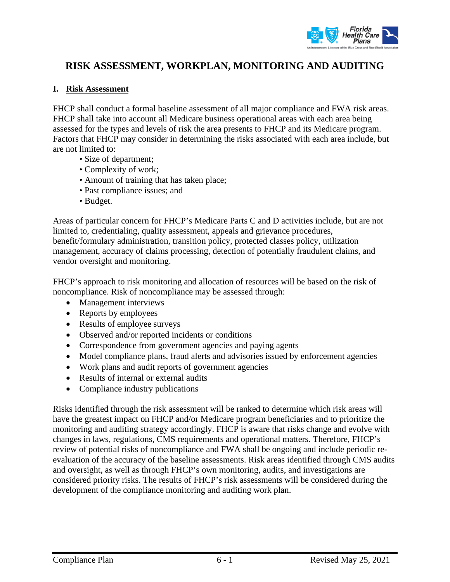

# **RISK ASSESSMENT, WORKPLAN, MONITORING AND AUDITING**

#### **I. Risk Assessment**

FHCP shall conduct a formal baseline assessment of all major compliance and FWA risk areas. FHCP shall take into account all Medicare business operational areas with each area being assessed for the types and levels of risk the area presents to FHCP and its Medicare program. Factors that FHCP may consider in determining the risks associated with each area include, but are not limited to:

- Size of department;
- Complexity of work;
- Amount of training that has taken place;
- Past compliance issues; and
- Budget.

Areas of particular concern for FHCP's Medicare Parts C and D activities include, but are not limited to, credentialing, quality assessment, appeals and grievance procedures, benefit/formulary administration, transition policy, protected classes policy, utilization management, accuracy of claims processing, detection of potentially fraudulent claims, and vendor oversight and monitoring.

FHCP's approach to risk monitoring and allocation of resources will be based on the risk of noncompliance. Risk of noncompliance may be assessed through:

- Management interviews
- Reports by employees
- Results of employee surveys
- Observed and/or reported incidents or conditions
- Correspondence from government agencies and paying agents
- Model compliance plans, fraud alerts and advisories issued by enforcement agencies
- Work plans and audit reports of government agencies
- Results of internal or external audits
- Compliance industry publications

Risks identified through the risk assessment will be ranked to determine which risk areas will have the greatest impact on FHCP and/or Medicare program beneficiaries and to prioritize the monitoring and auditing strategy accordingly. FHCP is aware that risks change and evolve with changes in laws, regulations, CMS requirements and operational matters. Therefore, FHCP's review of potential risks of noncompliance and FWA shall be ongoing and include periodic reevaluation of the accuracy of the baseline assessments. Risk areas identified through CMS audits and oversight, as well as through FHCP's own monitoring, audits, and investigations are considered priority risks. The results of FHCP's risk assessments will be considered during the development of the compliance monitoring and auditing work plan.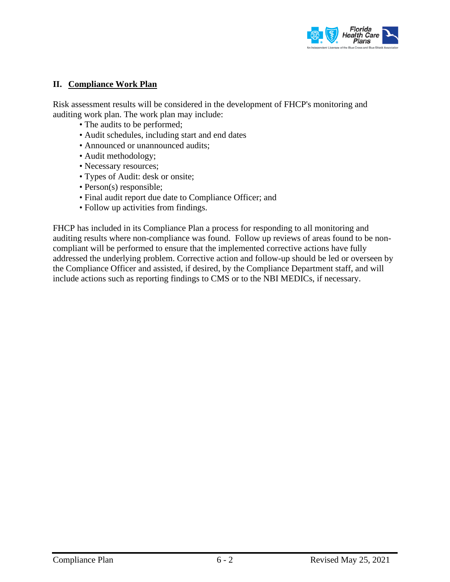

## **II. Compliance Work Plan**

Risk assessment results will be considered in the development of FHCP's monitoring and auditing work plan. The work plan may include:

- The audits to be performed;
- Audit schedules, including start and end dates
- Announced or unannounced audits;
- Audit methodology;
- Necessary resources;
- Types of Audit: desk or onsite;
- Person(s) responsible;
- Final audit report due date to Compliance Officer; and
- Follow up activities from findings.

FHCP has included in its Compliance Plan a process for responding to all monitoring and auditing results where non-compliance was found. Follow up reviews of areas found to be noncompliant will be performed to ensure that the implemented corrective actions have fully addressed the underlying problem. Corrective action and follow-up should be led or overseen by the Compliance Officer and assisted, if desired, by the Compliance Department staff, and will include actions such as reporting findings to CMS or to the NBI MEDICs, if necessary.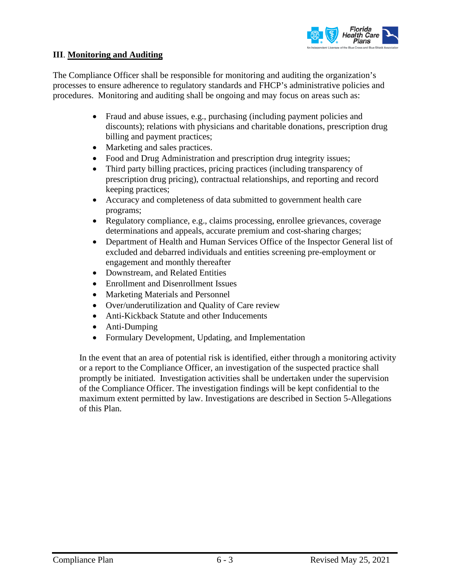

### **III**. **Monitoring and Auditing**

The Compliance Officer shall be responsible for monitoring and auditing the organization's processes to ensure adherence to regulatory standards and FHCP's administrative policies and procedures. Monitoring and auditing shall be ongoing and may focus on areas such as:

- Fraud and abuse issues, e.g., purchasing (including payment policies and discounts); relations with physicians and charitable donations, prescription drug billing and payment practices;
- Marketing and sales practices.
- Food and Drug Administration and prescription drug integrity issues;
- Third party billing practices, pricing practices (including transparency of prescription drug pricing), contractual relationships, and reporting and record keeping practices;
- Accuracy and completeness of data submitted to government health care programs;
- Regulatory compliance, e.g., claims processing, enrollee grievances, coverage determinations and appeals, accurate premium and cost-sharing charges;
- Department of Health and Human Services Office of the Inspector General list of excluded and debarred individuals and entities screening pre-employment or engagement and monthly thereafter
- Downstream, and Related Entities
- Enrollment and Disenrollment Issues
- Marketing Materials and Personnel
- Over/underutilization and Quality of Care review
- Anti-Kickback Statute and other Inducements
- Anti-Dumping
- Formulary Development, Updating, and Implementation

In the event that an area of potential risk is identified, either through a monitoring activity or a report to the Compliance Officer, an investigation of the suspected practice shall promptly be initiated. Investigation activities shall be undertaken under the supervision of the Compliance Officer. The investigation findings will be kept confidential to the maximum extent permitted by law. Investigations are described in Section 5-Allegations of this Plan.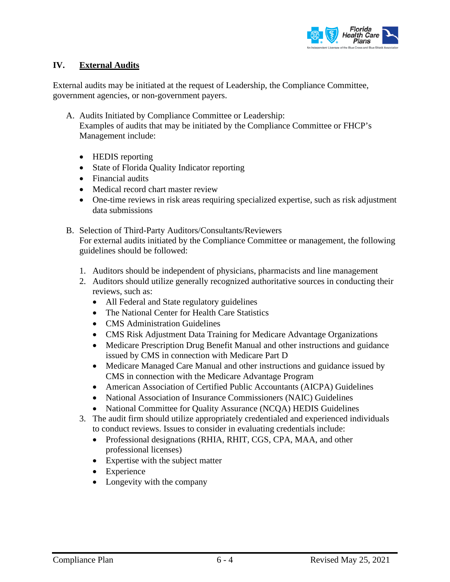

## **IV. External Audits**

External audits may be initiated at the request of Leadership, the Compliance Committee, government agencies, or non-government payers.

- A. Audits Initiated by Compliance Committee or Leadership: Examples of audits that may be initiated by the Compliance Committee or FHCP's Management include:
	- HEDIS reporting
	- State of Florida Quality Indicator reporting
	- Financial audits
	- Medical record chart master review
	- One-time reviews in risk areas requiring specialized expertise, such as risk adjustment data submissions
- B. Selection of Third-Party Auditors/Consultants/Reviewers For external audits initiated by the Compliance Committee or management, the following guidelines should be followed:
	- 1. Auditors should be independent of physicians, pharmacists and line management
	- 2. Auditors should utilize generally recognized authoritative sources in conducting their reviews, such as:
		- All Federal and State regulatory guidelines
		- The National Center for Health Care Statistics
		- CMS Administration Guidelines
		- CMS Risk Adjustment Data Training for Medicare Advantage Organizations
		- Medicare Prescription Drug Benefit Manual and other instructions and guidance issued by CMS in connection with Medicare Part D
		- Medicare Managed Care Manual and other instructions and guidance issued by CMS in connection with the Medicare Advantage Program
		- American Association of Certified Public Accountants (AICPA) Guidelines
		- National Association of Insurance Commissioners (NAIC) Guidelines
		- National Committee for Quality Assurance (NCQA) HEDIS Guidelines
	- 3. The audit firm should utilize appropriately credentialed and experienced individuals to conduct reviews. Issues to consider in evaluating credentials include:
		- Professional designations (RHIA, RHIT, CGS, CPA, MAA, and other professional licenses)
		- Expertise with the subject matter
		- Experience
		- Longevity with the company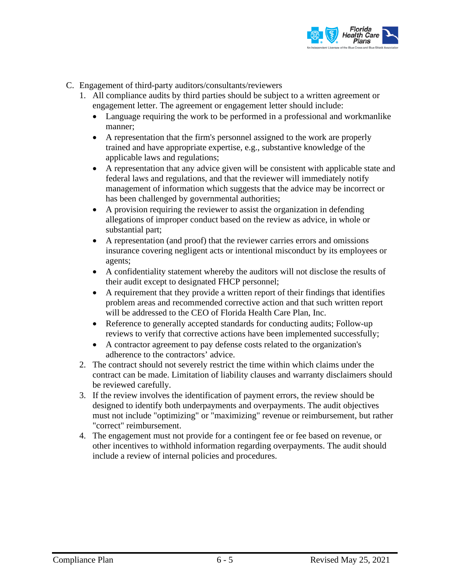

- C. Engagement of third-party auditors/consultants/reviewers
	- 1. All compliance audits by third parties should be subject to a written agreement or engagement letter. The agreement or engagement letter should include:
		- Language requiring the work to be performed in a professional and workmanlike manner;
		- A representation that the firm's personnel assigned to the work are properly trained and have appropriate expertise, e.g., substantive knowledge of the applicable laws and regulations;
		- A representation that any advice given will be consistent with applicable state and federal laws and regulations, and that the reviewer will immediately notify management of information which suggests that the advice may be incorrect or has been challenged by governmental authorities;
		- A provision requiring the reviewer to assist the organization in defending allegations of improper conduct based on the review as advice, in whole or substantial part;
		- A representation (and proof) that the reviewer carries errors and omissions insurance covering negligent acts or intentional misconduct by its employees or agents;
		- A confidentiality statement whereby the auditors will not disclose the results of their audit except to designated FHCP personnel;
		- A requirement that they provide a written report of their findings that identifies problem areas and recommended corrective action and that such written report will be addressed to the CEO of Florida Health Care Plan, Inc.
		- Reference to generally accepted standards for conducting audits; Follow-up reviews to verify that corrective actions have been implemented successfully;
		- A contractor agreement to pay defense costs related to the organization's adherence to the contractors' advice.
	- 2. The contract should not severely restrict the time within which claims under the contract can be made. Limitation of liability clauses and warranty disclaimers should be reviewed carefully.
	- 3. If the review involves the identification of payment errors, the review should be designed to identify both underpayments and overpayments. The audit objectives must not include "optimizing" or "maximizing" revenue or reimbursement, but rather "correct" reimbursement.
	- 4. The engagement must not provide for a contingent fee or fee based on revenue, or other incentives to withhold information regarding overpayments. The audit should include a review of internal policies and procedures.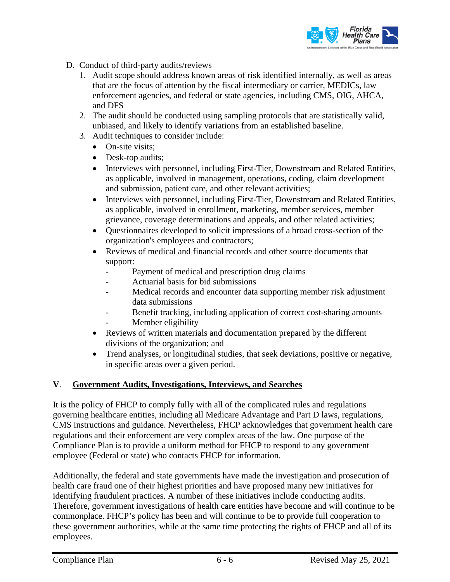

- D. Conduct of third-party audits/reviews
	- 1. Audit scope should address known areas of risk identified internally, as well as areas that are the focus of attention by the fiscal intermediary or carrier, MEDICs, law enforcement agencies, and federal or state agencies, including CMS, OIG, AHCA, and DFS
	- 2. The audit should be conducted using sampling protocols that are statistically valid, unbiased, and likely to identify variations from an established baseline.
	- 3. Audit techniques to consider include:
		- On-site visits;
		- Desk-top audits;
		- Interviews with personnel, including First-Tier, Downstream and Related Entities, as applicable, involved in management, operations, coding, claim development and submission, patient care, and other relevant activities;
		- Interviews with personnel, including First-Tier, Downstream and Related Entities, as applicable, involved in enrollment, marketing, member services, member grievance, coverage determinations and appeals, and other related activities;
		- Questionnaires developed to solicit impressions of a broad cross-section of the organization's employees and contractors;
		- Reviews of medical and financial records and other source documents that support:
			- Payment of medical and prescription drug claims
			- Actuarial basis for bid submissions
			- Medical records and encounter data supporting member risk adjustment data submissions
			- Benefit tracking, including application of correct cost-sharing amounts
			- Member eligibility
		- Reviews of written materials and documentation prepared by the different divisions of the organization; and
		- Trend analyses, or longitudinal studies, that seek deviations, positive or negative, in specific areas over a given period.

#### **V**. **Government Audits, Investigations, Interviews, and Searches**

It is the policy of FHCP to comply fully with all of the complicated rules and regulations governing healthcare entities, including all Medicare Advantage and Part D laws, regulations, CMS instructions and guidance. Nevertheless, FHCP acknowledges that government health care regulations and their enforcement are very complex areas of the law. One purpose of the Compliance Plan is to provide a uniform method for FHCP to respond to any government employee (Federal or state) who contacts FHCP for information.

Additionally, the federal and state governments have made the investigation and prosecution of health care fraud one of their highest priorities and have proposed many new initiatives for identifying fraudulent practices. A number of these initiatives include conducting audits. Therefore, government investigations of health care entities have become and will continue to be commonplace. FHCP's policy has been and will continue to be to provide full cooperation to these government authorities, while at the same time protecting the rights of FHCP and all of its employees.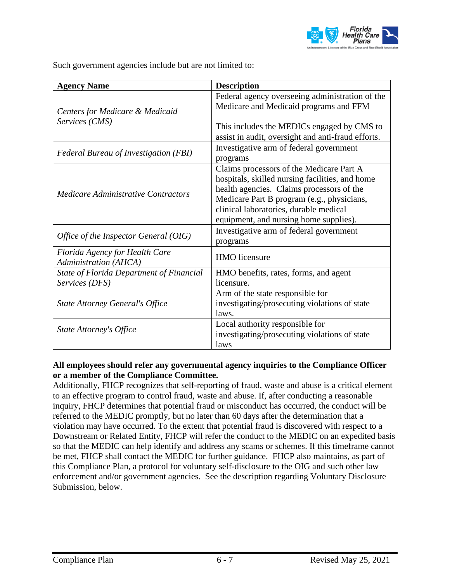

Such government agencies include but are not limited to:

| <b>Agency Name</b>                                                              | <b>Description</b>                                                                                                                                                                                                                                                         |  |
|---------------------------------------------------------------------------------|----------------------------------------------------------------------------------------------------------------------------------------------------------------------------------------------------------------------------------------------------------------------------|--|
| Centers for Medicare & Medicaid<br>Services (CMS)                               | Federal agency overseeing administration of the<br>Medicare and Medicaid programs and FFM<br>This includes the MEDICs engaged by CMS to<br>assist in audit, oversight and anti-fraud efforts.                                                                              |  |
| <b>Federal Bureau of Investigation (FBI)</b>                                    | Investigative arm of federal government<br>programs                                                                                                                                                                                                                        |  |
| Medicare Administrative Contractors                                             | Claims processors of the Medicare Part A<br>hospitals, skilled nursing facilities, and home<br>health agencies. Claims processors of the<br>Medicare Part B program (e.g., physicians,<br>clinical laboratories, durable medical<br>equipment, and nursing home supplies). |  |
| Office of the Inspector General (OIG)                                           | Investigative arm of federal government<br>programs                                                                                                                                                                                                                        |  |
| Florida Agency for Health Care<br><b>HMO</b> licensure<br>Administration (AHCA) |                                                                                                                                                                                                                                                                            |  |
| State of Florida Department of Financial<br>Services (DFS)                      | HMO benefits, rates, forms, and agent<br>licensure.                                                                                                                                                                                                                        |  |
| <b>State Attorney General's Office</b>                                          | Arm of the state responsible for<br>investigating/prosecuting violations of state<br>laws.                                                                                                                                                                                 |  |
| State Attorney's Office                                                         | Local authority responsible for<br>investigating/prosecuting violations of state<br>laws                                                                                                                                                                                   |  |

#### **All employees should refer any governmental agency inquiries to the Compliance Officer or a member of the Compliance Committee.**

Additionally, FHCP recognizes that self-reporting of fraud, waste and abuse is a critical element to an effective program to control fraud, waste and abuse. If, after conducting a reasonable inquiry, FHCP determines that potential fraud or misconduct has occurred, the conduct will be referred to the MEDIC promptly, but no later than 60 days after the determination that a violation may have occurred. To the extent that potential fraud is discovered with respect to a Downstream or Related Entity, FHCP will refer the conduct to the MEDIC on an expedited basis so that the MEDIC can help identify and address any scams or schemes. If this timeframe cannot be met, FHCP shall contact the MEDIC for further guidance. FHCP also maintains, as part of this Compliance Plan, a protocol for voluntary self-disclosure to the OIG and such other law enforcement and/or government agencies. See the description regarding Voluntary Disclosure Submission, below.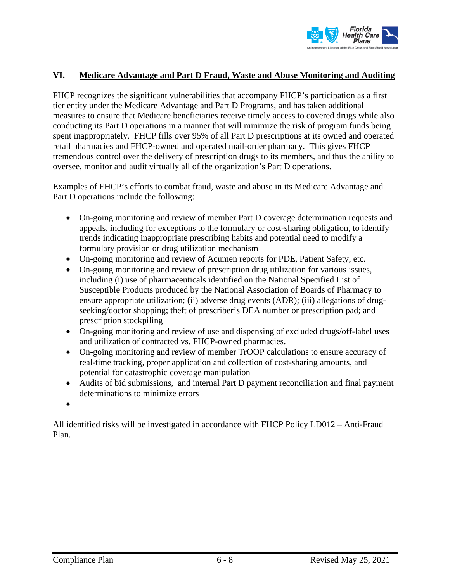

#### **VI. Medicare Advantage and Part D Fraud, Waste and Abuse Monitoring and Auditing**

FHCP recognizes the significant vulnerabilities that accompany FHCP's participation as a first tier entity under the Medicare Advantage and Part D Programs, and has taken additional measures to ensure that Medicare beneficiaries receive timely access to covered drugs while also conducting its Part D operations in a manner that will minimize the risk of program funds being spent inappropriately. FHCP fills over 95% of all Part D prescriptions at its owned and operated retail pharmacies and FHCP-owned and operated mail-order pharmacy. This gives FHCP tremendous control over the delivery of prescription drugs to its members, and thus the ability to oversee, monitor and audit virtually all of the organization's Part D operations.

Examples of FHCP's efforts to combat fraud, waste and abuse in its Medicare Advantage and Part D operations include the following:

- On-going monitoring and review of member Part D coverage determination requests and appeals, including for exceptions to the formulary or cost-sharing obligation, to identify trends indicating inappropriate prescribing habits and potential need to modify a formulary provision or drug utilization mechanism
- On-going monitoring and review of Acumen reports for PDE, Patient Safety, etc.
- On-going monitoring and review of prescription drug utilization for various issues, including (i) use of pharmaceuticals identified on the National Specified List of Susceptible Products produced by the National Association of Boards of Pharmacy to ensure appropriate utilization; (ii) adverse drug events (ADR); (iii) allegations of drugseeking/doctor shopping; theft of prescriber's DEA number or prescription pad; and prescription stockpiling
- On-going monitoring and review of use and dispensing of excluded drugs/off-label uses and utilization of contracted vs. FHCP-owned pharmacies.
- On-going monitoring and review of member TrOOP calculations to ensure accuracy of real-time tracking, proper application and collection of cost-sharing amounts, and potential for catastrophic coverage manipulation
- Audits of bid submissions, and internal Part D payment reconciliation and final payment determinations to minimize errors

•

All identified risks will be investigated in accordance with FHCP Policy LD012 – Anti-Fraud Plan.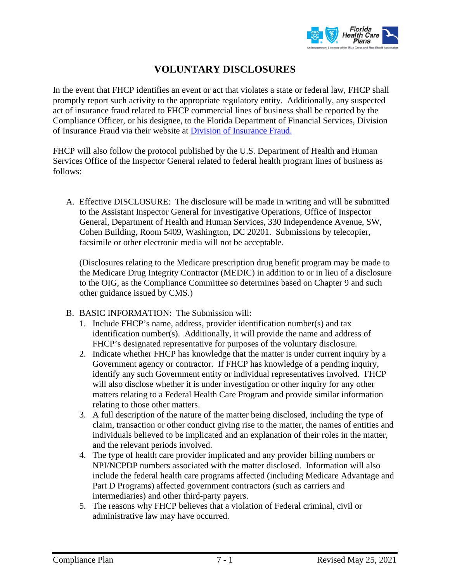

# **VOLUNTARY DISCLOSURES**

In the event that FHCP identifies an event or act that violates a state or federal law, FHCP shall promptly report such activity to the appropriate regulatory entity. Additionally, any suspected act of insurance fraud related to FHCP commercial lines of business shall be reported by the Compliance Officer, or his designee, to the Florida Department of Financial Services, Division of Insurance Fraud via their website at [Division of Insurance Fraud.](https://www.myfloridacfo.com/Division/DIFS/)

FHCP will also follow the protocol published by the U.S. Department of Health and Human Services Office of the Inspector General related to federal health program lines of business as follows:

A. Effective DISCLOSURE: The disclosure will be made in writing and will be submitted to the Assistant Inspector General for Investigative Operations, Office of Inspector General, Department of Health and Human Services, 330 Independence Avenue, SW, Cohen Building, Room 5409, Washington, DC 20201. Submissions by telecopier, facsimile or other electronic media will not be acceptable.

(Disclosures relating to the Medicare prescription drug benefit program may be made to the Medicare Drug Integrity Contractor (MEDIC) in addition to or in lieu of a disclosure to the OIG, as the Compliance Committee so determines based on Chapter 9 and such other guidance issued by CMS.)

- B. BASIC INFORMATION: The Submission will:
	- 1. Include FHCP's name, address, provider identification number(s) and tax identification number(s). Additionally, it will provide the name and address of FHCP's designated representative for purposes of the voluntary disclosure.
	- 2. Indicate whether FHCP has knowledge that the matter is under current inquiry by a Government agency or contractor. If FHCP has knowledge of a pending inquiry, identify any such Government entity or individual representatives involved. FHCP will also disclose whether it is under investigation or other inquiry for any other matters relating to a Federal Health Care Program and provide similar information relating to those other matters.
	- 3. A full description of the nature of the matter being disclosed, including the type of claim, transaction or other conduct giving rise to the matter, the names of entities and individuals believed to be implicated and an explanation of their roles in the matter, and the relevant periods involved.
	- 4. The type of health care provider implicated and any provider billing numbers or NPI/NCPDP numbers associated with the matter disclosed. Information will also include the federal health care programs affected (including Medicare Advantage and Part D Programs) affected government contractors (such as carriers and intermediaries) and other third-party payers.
	- 5. The reasons why FHCP believes that a violation of Federal criminal, civil or administrative law may have occurred.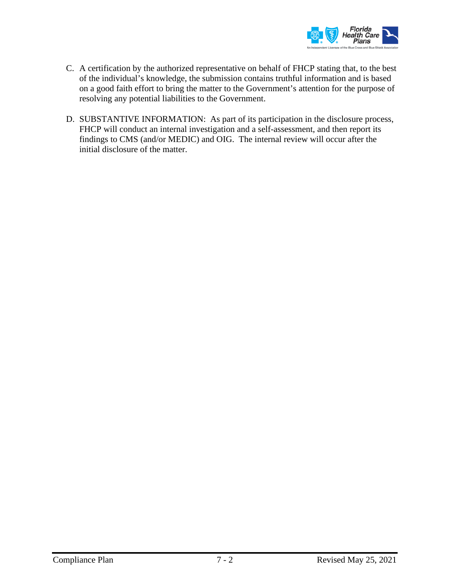

- C. A certification by the authorized representative on behalf of FHCP stating that, to the best of the individual's knowledge, the submission contains truthful information and is based on a good faith effort to bring the matter to the Government's attention for the purpose of resolving any potential liabilities to the Government.
- D. SUBSTANTIVE INFORMATION: As part of its participation in the disclosure process, FHCP will conduct an internal investigation and a self-assessment, and then report its findings to CMS (and/or MEDIC) and OIG. The internal review will occur after the initial disclosure of the matter.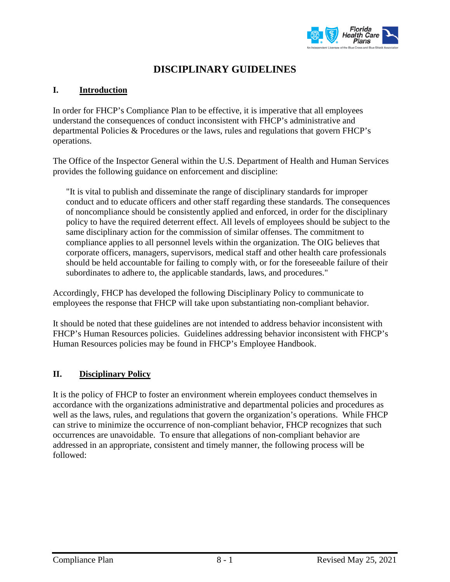

# **DISCIPLINARY GUIDELINES**

# **I. Introduction**

In order for FHCP's Compliance Plan to be effective, it is imperative that all employees understand the consequences of conduct inconsistent with FHCP's administrative and departmental Policies & Procedures or the laws, rules and regulations that govern FHCP's operations.

The Office of the Inspector General within the U.S. Department of Health and Human Services provides the following guidance on enforcement and discipline:

"It is vital to publish and disseminate the range of disciplinary standards for improper conduct and to educate officers and other staff regarding these standards. The consequences of noncompliance should be consistently applied and enforced, in order for the disciplinary policy to have the required deterrent effect. All levels of employees should be subject to the same disciplinary action for the commission of similar offenses. The commitment to compliance applies to all personnel levels within the organization. The OIG believes that corporate officers, managers, supervisors, medical staff and other health care professionals should be held accountable for failing to comply with, or for the foreseeable failure of their subordinates to adhere to, the applicable standards, laws, and procedures."

Accordingly, FHCP has developed the following Disciplinary Policy to communicate to employees the response that FHCP will take upon substantiating non-compliant behavior.

It should be noted that these guidelines are not intended to address behavior inconsistent with FHCP's Human Resources policies. Guidelines addressing behavior inconsistent with FHCP's Human Resources policies may be found in FHCP's Employee Handbook.

# **II. Disciplinary Policy**

It is the policy of FHCP to foster an environment wherein employees conduct themselves in accordance with the organizations administrative and departmental policies and procedures as well as the laws, rules, and regulations that govern the organization's operations. While FHCP can strive to minimize the occurrence of non-compliant behavior, FHCP recognizes that such occurrences are unavoidable. To ensure that allegations of non-compliant behavior are addressed in an appropriate, consistent and timely manner, the following process will be followed: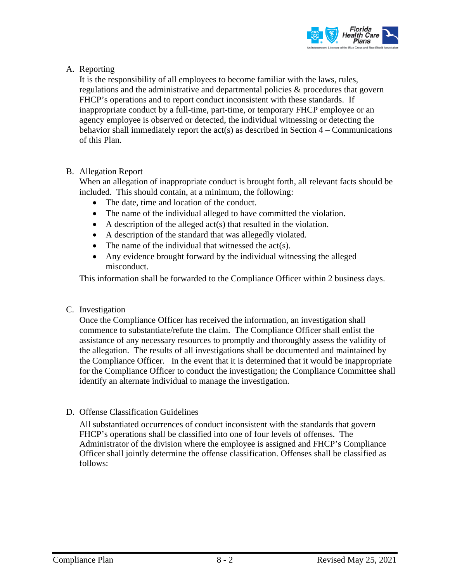

# A. Reporting

It is the responsibility of all employees to become familiar with the laws, rules, regulations and the administrative and departmental policies & procedures that govern FHCP's operations and to report conduct inconsistent with these standards. If inappropriate conduct by a full-time, part-time, or temporary FHCP employee or an agency employee is observed or detected, the individual witnessing or detecting the behavior shall immediately report the act(s) as described in Section  $4 -$ Communications of this Plan.

#### B. Allegation Report

When an allegation of inappropriate conduct is brought forth, all relevant facts should be included. This should contain, at a minimum, the following:

- The date, time and location of the conduct.
- The name of the individual alleged to have committed the violation.
- A description of the alleged act(s) that resulted in the violation.
- A description of the standard that was allegedly violated.
- The name of the individual that witnessed the act(s).
- Any evidence brought forward by the individual witnessing the alleged misconduct.

This information shall be forwarded to the Compliance Officer within 2 business days.

#### C. Investigation

Once the Compliance Officer has received the information, an investigation shall commence to substantiate/refute the claim. The Compliance Officer shall enlist the assistance of any necessary resources to promptly and thoroughly assess the validity of the allegation. The results of all investigations shall be documented and maintained by the Compliance Officer. In the event that it is determined that it would be inappropriate for the Compliance Officer to conduct the investigation; the Compliance Committee shall identify an alternate individual to manage the investigation.

#### D. Offense Classification Guidelines

All substantiated occurrences of conduct inconsistent with the standards that govern FHCP's operations shall be classified into one of four levels of offenses. The Administrator of the division where the employee is assigned and FHCP's Compliance Officer shall jointly determine the offense classification. Offenses shall be classified as follows: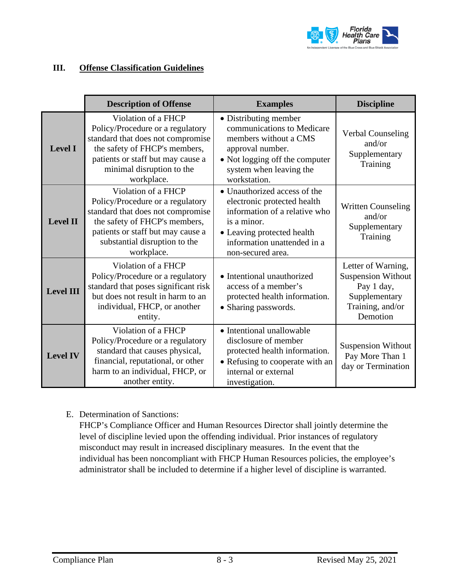

### **III. Offense Classification Guidelines**

|                  | <b>Description of Offense</b>                                                                                                                                                                                     | <b>Examples</b>                                                                                                                                                                               | <b>Discipline</b>                                                                                              |
|------------------|-------------------------------------------------------------------------------------------------------------------------------------------------------------------------------------------------------------------|-----------------------------------------------------------------------------------------------------------------------------------------------------------------------------------------------|----------------------------------------------------------------------------------------------------------------|
| <b>Level I</b>   | Violation of a FHCP<br>Policy/Procedure or a regulatory<br>standard that does not compromise<br>the safety of FHCP's members,<br>patients or staff but may cause a<br>minimal disruption to the<br>workplace.     | • Distributing member<br>communications to Medicare<br>members without a CMS<br>approval number.<br>• Not logging off the computer<br>system when leaving the<br>workstation.                 | Verbal Counseling<br>and/or<br>Supplementary<br>Training                                                       |
| <b>Level II</b>  | Violation of a FHCP<br>Policy/Procedure or a regulatory<br>standard that does not compromise<br>the safety of FHCP's members,<br>patients or staff but may cause a<br>substantial disruption to the<br>workplace. | • Unauthorized access of the<br>electronic protected health<br>information of a relative who<br>is a minor.<br>• Leaving protected health<br>information unattended in a<br>non-secured area. | <b>Written Counseling</b><br>and/or<br>Supplementary<br>Training                                               |
| <b>Level III</b> | Violation of a FHCP<br>Policy/Procedure or a regulatory<br>standard that poses significant risk<br>but does not result in harm to an<br>individual, FHCP, or another<br>entity.                                   | • Intentional unauthorized<br>access of a member's<br>protected health information.<br>• Sharing passwords.                                                                                   | Letter of Warning,<br><b>Suspension Without</b><br>Pay 1 day,<br>Supplementary<br>Training, and/or<br>Demotion |
| <b>Level IV</b>  | Violation of a FHCP<br>Policy/Procedure or a regulatory<br>standard that causes physical,<br>financial, reputational, or other<br>harm to an individual, FHCP, or<br>another entity.                              | • Intentional unallowable<br>disclosure of member<br>protected health information.<br>• Refusing to cooperate with an<br>internal or external<br>investigation.                               | <b>Suspension Without</b><br>Pay More Than 1<br>day or Termination                                             |

# E. Determination of Sanctions:

FHCP's Compliance Officer and Human Resources Director shall jointly determine the level of discipline levied upon the offending individual. Prior instances of regulatory misconduct may result in increased disciplinary measures. In the event that the individual has been noncompliant with FHCP Human Resources policies, the employee's administrator shall be included to determine if a higher level of discipline is warranted.